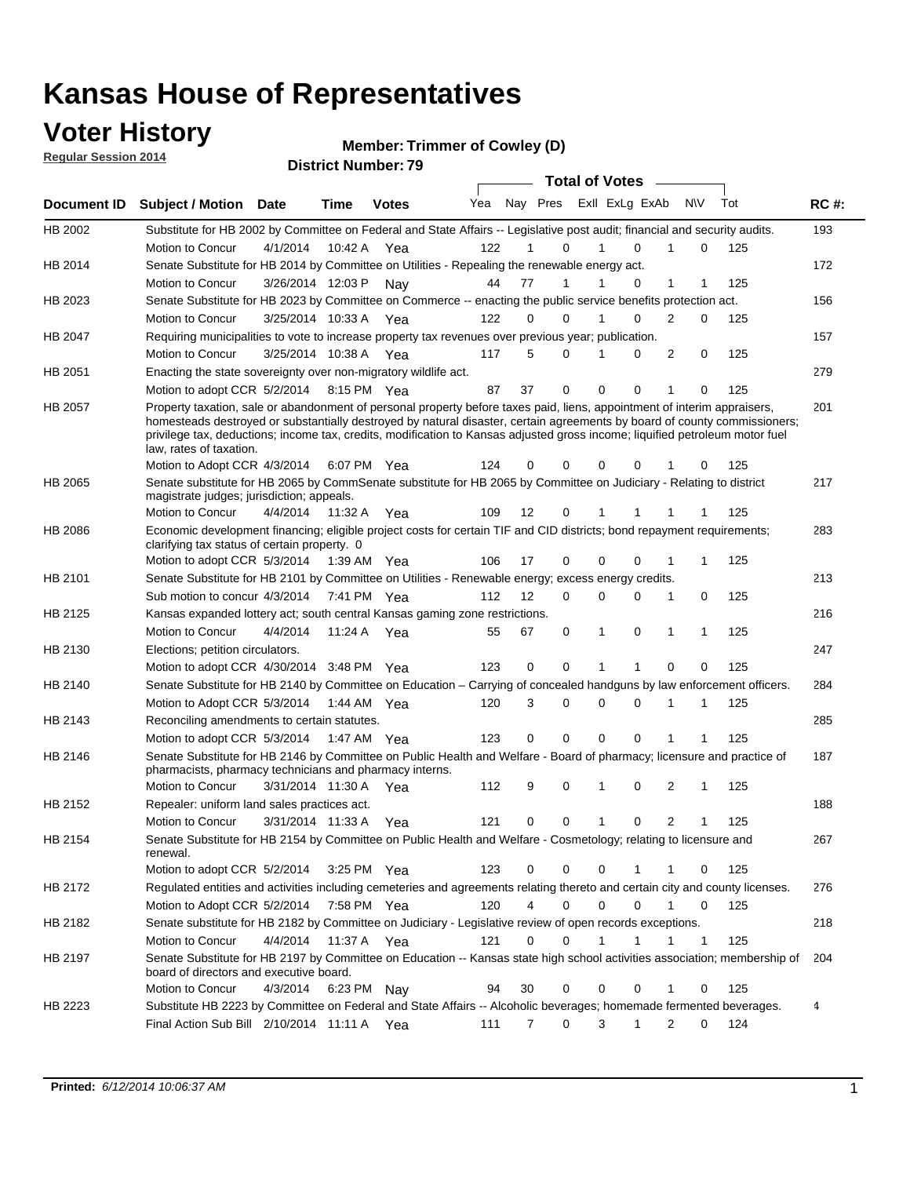### **Voter History**

**Regular Session 2014**

**Member: Trimmer of Cowley (D)** 

|                |                                                                                                                                                                                                                                                                                                                                                                                                                  |                       |             |              |     |                |                         |             | <b>Total of Votes</b> |             |                  |   |     |             |
|----------------|------------------------------------------------------------------------------------------------------------------------------------------------------------------------------------------------------------------------------------------------------------------------------------------------------------------------------------------------------------------------------------------------------------------|-----------------------|-------------|--------------|-----|----------------|-------------------------|-------------|-----------------------|-------------|------------------|---|-----|-------------|
| Document ID    | <b>Subject / Motion Date</b>                                                                                                                                                                                                                                                                                                                                                                                     |                       | <b>Time</b> | <b>Votes</b> | Yea |                | Nay Pres ExII ExLg ExAb |             |                       |             | N\V              |   | Tot | <b>RC#:</b> |
| HB 2002        | Substitute for HB 2002 by Committee on Federal and State Affairs -- Legislative post audit; financial and security audits.                                                                                                                                                                                                                                                                                       |                       |             |              |     |                |                         |             |                       |             |                  |   |     | 193         |
|                | Motion to Concur                                                                                                                                                                                                                                                                                                                                                                                                 | 4/1/2014              | 10:42 A     | Yea          | 122 |                | $\Omega$                | 1           |                       | 0           | 1                | 0 | 125 |             |
| HB 2014        | Senate Substitute for HB 2014 by Committee on Utilities - Repealing the renewable energy act.                                                                                                                                                                                                                                                                                                                    |                       |             |              |     |                |                         |             |                       |             |                  |   |     | 172         |
|                | Motion to Concur                                                                                                                                                                                                                                                                                                                                                                                                 | 3/26/2014 12:03 P     |             | Nav          | 44  | 77             | 1                       | 1           |                       | 0           | 1                | 1 | 125 |             |
| HB 2023        | Senate Substitute for HB 2023 by Committee on Commerce -- enacting the public service benefits protection act.                                                                                                                                                                                                                                                                                                   |                       |             |              |     |                |                         |             |                       |             |                  |   |     | 156         |
|                | Motion to Concur                                                                                                                                                                                                                                                                                                                                                                                                 | 3/25/2014 10:33 A     |             | Yea          | 122 | 0              | $\Omega$                | 1           |                       | 0           | 2                | 0 | 125 |             |
| HB 2047        | Requiring municipalities to vote to increase property tax revenues over previous year; publication.                                                                                                                                                                                                                                                                                                              |                       |             |              |     |                |                         |             |                       |             |                  |   |     | 157         |
|                | Motion to Concur                                                                                                                                                                                                                                                                                                                                                                                                 | 3/25/2014 10:38 A     |             | Yea          | 117 | 5              | $\Omega$                | 1           |                       | 0           | $\overline{2}$   | 0 | 125 |             |
| HB 2051        | Enacting the state sovereignty over non-migratory wildlife act.                                                                                                                                                                                                                                                                                                                                                  |                       |             |              |     |                |                         |             |                       |             |                  |   |     | 279         |
|                | Motion to adopt CCR 5/2/2014 8:15 PM Yea                                                                                                                                                                                                                                                                                                                                                                         |                       |             |              | 87  | 37             | $\mathbf 0$             | $\mathbf 0$ |                       | $\mathbf 0$ | 1                | 0 | 125 |             |
| HB 2057        | Property taxation, sale or abandonment of personal property before taxes paid, liens, appointment of interim appraisers,<br>homesteads destroyed or substantially destroyed by natural disaster, certain agreements by board of county commissioners;<br>privilege tax, deductions; income tax, credits, modification to Kansas adjusted gross income; liquified petroleum motor fuel<br>law, rates of taxation. |                       |             |              |     |                |                         |             |                       |             |                  |   |     | 201         |
|                | Motion to Adopt CCR 4/3/2014                                                                                                                                                                                                                                                                                                                                                                                     |                       |             | 6:07 PM Yea  | 124 | 0              | $\Omega$                |             | 0                     | 0           |                  | 0 | 125 |             |
| HB 2065        | Senate substitute for HB 2065 by CommSenate substitute for HB 2065 by Committee on Judiciary - Relating to district<br>magistrate judges; jurisdiction; appeals.                                                                                                                                                                                                                                                 |                       |             |              |     |                |                         |             |                       |             |                  |   |     | 217         |
|                | Motion to Concur                                                                                                                                                                                                                                                                                                                                                                                                 | 4/4/2014              | 11:32 A     | Yea          | 109 | 12             | 0                       | 1           |                       |             |                  | 1 | 125 |             |
| <b>HB 2086</b> | Economic development financing; eligible project costs for certain TIF and CID districts; bond repayment requirements;<br>clarifying tax status of certain property. 0                                                                                                                                                                                                                                           |                       |             |              |     |                |                         |             |                       |             |                  |   |     | 283         |
|                | Motion to adopt CCR 5/3/2014                                                                                                                                                                                                                                                                                                                                                                                     |                       | 1:39 AM Yea |              | 106 | 17             | $\mathbf 0$             |             | 0                     | 0           |                  | 1 | 125 |             |
| HB 2101        | Senate Substitute for HB 2101 by Committee on Utilities - Renewable energy; excess energy credits.                                                                                                                                                                                                                                                                                                               |                       |             |              |     |                |                         |             |                       |             |                  |   |     | 213         |
|                | Sub motion to concur 4/3/2014 7:41 PM Yea                                                                                                                                                                                                                                                                                                                                                                        |                       |             |              | 112 | 12             | $\Omega$                |             | 0                     | 0           | 1                | 0 | 125 |             |
| HB 2125        | Kansas expanded lottery act; south central Kansas gaming zone restrictions.                                                                                                                                                                                                                                                                                                                                      |                       |             |              |     |                |                         |             |                       |             |                  |   |     | 216         |
|                | Motion to Concur                                                                                                                                                                                                                                                                                                                                                                                                 | 4/4/2014              | 11:24 A     | Yea          | 55  | 67             | 0                       | 1           |                       | 0           | 1                | 1 | 125 |             |
| HB 2130        | Elections; petition circulators.                                                                                                                                                                                                                                                                                                                                                                                 |                       |             |              |     |                |                         |             |                       |             |                  |   |     | 247         |
|                | Motion to adopt CCR 4/30/2014 3:48 PM Yea                                                                                                                                                                                                                                                                                                                                                                        |                       |             |              | 123 | 0              | $\mathbf 0$             | 1           |                       | 1           | 0                | 0 | 125 |             |
| HB 2140        | Senate Substitute for HB 2140 by Committee on Education – Carrying of concealed handguns by law enforcement officers.                                                                                                                                                                                                                                                                                            |                       |             |              |     |                |                         |             |                       |             |                  |   |     | 284         |
|                | Motion to Adopt CCR 5/3/2014 1:44 AM Yea                                                                                                                                                                                                                                                                                                                                                                         |                       |             |              | 120 | 3              | 0                       |             | 0                     | 0           | 1<br>1           |   | 125 |             |
| HB 2143        | Reconciling amendments to certain statutes.                                                                                                                                                                                                                                                                                                                                                                      |                       |             |              |     |                |                         |             |                       |             |                  |   |     | 285         |
|                | Motion to adopt CCR 5/3/2014 1:47 AM Yea                                                                                                                                                                                                                                                                                                                                                                         |                       |             |              | 123 | 0              | $\mathbf 0$             | $\Omega$    |                       | 0           | 1                |   | 125 |             |
| HB 2146        | Senate Substitute for HB 2146 by Committee on Public Health and Welfare - Board of pharmacy; licensure and practice of<br>pharmacists, pharmacy technicians and pharmacy interns.                                                                                                                                                                                                                                |                       |             |              |     |                |                         |             |                       |             |                  |   |     | 187         |
|                | Motion to Concur                                                                                                                                                                                                                                                                                                                                                                                                 | 3/31/2014 11:30 A Yea |             |              | 112 | 9              | 0                       | 1           |                       | 0           | 2                | 1 | 125 |             |
| HB 2152        | Repealer: uniform land sales practices act.                                                                                                                                                                                                                                                                                                                                                                      |                       |             |              |     |                |                         |             |                       |             |                  |   |     | 188         |
|                | Motion to Concur                                                                                                                                                                                                                                                                                                                                                                                                 | 3/31/2014 11:33 A     |             | Yea          | 121 | 0              | 0                       | 1           |                       | 0           | 2                | 1 | 125 |             |
| HB 2154        | Senate Substitute for HB 2154 by Committee on Public Health and Welfare - Cosmetology; relating to licensure and<br>renewal.                                                                                                                                                                                                                                                                                     |                       |             |              |     |                |                         |             |                       |             |                  |   |     | 267         |
|                | Motion to adopt CCR 5/2/2014                                                                                                                                                                                                                                                                                                                                                                                     |                       |             | 3:25 PM Yea  | 123 | 0              | 0                       |             | 0                     |             | 1                | 0 | 125 |             |
| HB 2172        | Regulated entities and activities including cemeteries and agreements relating thereto and certain city and county licenses.                                                                                                                                                                                                                                                                                     |                       |             |              |     |                |                         |             |                       |             |                  |   |     | 276         |
|                | Motion to Adopt CCR 5/2/2014                                                                                                                                                                                                                                                                                                                                                                                     |                       |             | 7:58 PM Yea  | 120 | $\overline{4}$ | $\mathbf 0$             |             | 0                     | 0           | 1<br>$\mathbf 0$ |   | 125 |             |
| HB 2182        | Senate substitute for HB 2182 by Committee on Judiciary - Legislative review of open records exceptions.                                                                                                                                                                                                                                                                                                         |                       |             |              |     |                |                         |             |                       |             |                  |   |     | 218         |
|                | Motion to Concur                                                                                                                                                                                                                                                                                                                                                                                                 | 4/4/2014              | 11:37 A Yea |              | 121 | 0              | $\mathbf 0$             | 1           |                       | 1           | 1                | 1 | 125 |             |
| HB 2197        | Senate Substitute for HB 2197 by Committee on Education -- Kansas state high school activities association; membership of<br>board of directors and executive board.                                                                                                                                                                                                                                             |                       |             |              |     |                |                         |             |                       |             |                  |   |     | 204         |
|                | Motion to Concur                                                                                                                                                                                                                                                                                                                                                                                                 | 4/3/2014              |             | 6:23 PM Nay  | 94  | 30             | $\mathbf 0$             |             | 0                     | 0           | 1                | 0 | 125 |             |
| HB 2223        | Substitute HB 2223 by Committee on Federal and State Affairs -- Alcoholic beverages; homemade fermented beverages.                                                                                                                                                                                                                                                                                               |                       |             |              |     |                |                         |             |                       |             |                  |   |     | 4           |
|                | Final Action Sub Bill 2/10/2014 11:11 A Yea                                                                                                                                                                                                                                                                                                                                                                      |                       |             |              | 111 | 7              | 0                       |             | 3                     | 1           | 2                | 0 | 124 |             |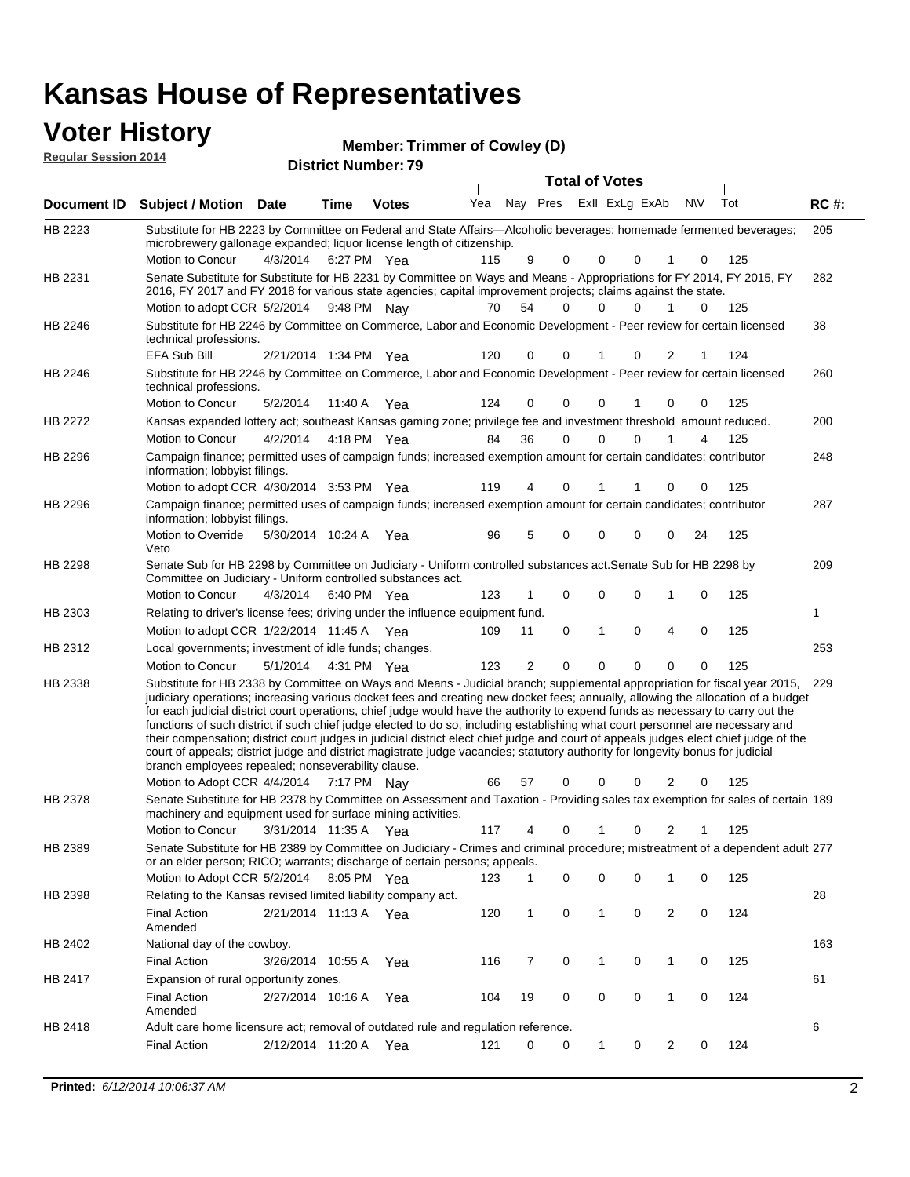### **Voter History**

| <b>VULGI THISLUI Y</b><br><b>Regular Session 2014</b> |                                                                                                                                                                                                                   | <b>Member: Trimmer of Cowley (D)</b><br><b>District Number: 79</b> |                              |                  |  |              |  |                |  |     |     |  |             |
|-------------------------------------------------------|-------------------------------------------------------------------------------------------------------------------------------------------------------------------------------------------------------------------|--------------------------------------------------------------------|------------------------------|------------------|--|--------------|--|----------------|--|-----|-----|--|-------------|
|                                                       |                                                                                                                                                                                                                   |                                                                    |                              | Total of Votes – |  |              |  |                |  |     |     |  |             |
|                                                       | Document ID Subject / Motion Date                                                                                                                                                                                 | Time                                                               | <b>Votes</b>                 |                  |  | Yea Nav Pres |  | ExII ExLg ExAb |  | N\V | Tot |  | <b>RC#:</b> |
| HB 2223                                               | Substitute for HB 2223 by Committee on Federal and State Affairs—Alcoholic beverages; homemade fermented beverages;<br>microbrewery gallonage expanded; liquor license length of citizenship.<br>Motion to Concur |                                                                    | $A/3/201A$ 6.27 DM $V_{0.0}$ | 115              |  |              |  |                |  |     |     |  | 205         |

|                | microbrewery gallonage expanded; liquor license length of citizenship.                                                                                                                                                                                                                                                                                                                                                                                                                                                                                                                                                                                                                                                                                                                                                                                              |                       |             |     |     |              |          |              |             |                |    |     |     |
|----------------|---------------------------------------------------------------------------------------------------------------------------------------------------------------------------------------------------------------------------------------------------------------------------------------------------------------------------------------------------------------------------------------------------------------------------------------------------------------------------------------------------------------------------------------------------------------------------------------------------------------------------------------------------------------------------------------------------------------------------------------------------------------------------------------------------------------------------------------------------------------------|-----------------------|-------------|-----|-----|--------------|----------|--------------|-------------|----------------|----|-----|-----|
|                | Motion to Concur                                                                                                                                                                                                                                                                                                                                                                                                                                                                                                                                                                                                                                                                                                                                                                                                                                                    | 4/3/2014              | 6:27 PM Yea |     | 115 | 9            | 0        | 0            | 0           |                | 0  | 125 |     |
| HB 2231        | Senate Substitute for Substitute for HB 2231 by Committee on Ways and Means - Appropriations for FY 2014, FY 2015, FY<br>2016, FY 2017 and FY 2018 for various state agencies; capital improvement projects; claims against the state.                                                                                                                                                                                                                                                                                                                                                                                                                                                                                                                                                                                                                              |                       |             |     |     |              |          |              |             |                |    |     | 282 |
|                | Motion to adopt CCR 5/2/2014 9:48 PM Nay                                                                                                                                                                                                                                                                                                                                                                                                                                                                                                                                                                                                                                                                                                                                                                                                                            |                       |             |     | 70  | 54           | 0        | 0            | 0           | 1              | 0  | 125 |     |
| HB 2246        | Substitute for HB 2246 by Committee on Commerce, Labor and Economic Development - Peer review for certain licensed<br>technical professions.                                                                                                                                                                                                                                                                                                                                                                                                                                                                                                                                                                                                                                                                                                                        |                       |             |     |     |              |          |              |             |                |    |     | 38  |
|                | EFA Sub Bill                                                                                                                                                                                                                                                                                                                                                                                                                                                                                                                                                                                                                                                                                                                                                                                                                                                        | 2/21/2014 1:34 PM Yea |             |     | 120 | 0            | 0        |              | 0           | $\overline{2}$ | 1  | 124 |     |
| HB 2246        | Substitute for HB 2246 by Committee on Commerce, Labor and Economic Development - Peer review for certain licensed<br>technical professions.                                                                                                                                                                                                                                                                                                                                                                                                                                                                                                                                                                                                                                                                                                                        |                       |             |     |     |              |          |              |             |                |    |     | 260 |
|                | <b>Motion to Concur</b>                                                                                                                                                                                                                                                                                                                                                                                                                                                                                                                                                                                                                                                                                                                                                                                                                                             | 5/2/2014              | 11:40 A Yea |     | 124 | 0            | $\Omega$ | $\mathbf 0$  |             | $\Omega$       | 0  | 125 |     |
| <b>HB 2272</b> | Kansas expanded lottery act; southeast Kansas gaming zone; privilege fee and investment threshold amount reduced.                                                                                                                                                                                                                                                                                                                                                                                                                                                                                                                                                                                                                                                                                                                                                   |                       |             |     |     |              |          |              |             |                |    |     | 200 |
|                | Motion to Concur                                                                                                                                                                                                                                                                                                                                                                                                                                                                                                                                                                                                                                                                                                                                                                                                                                                    | 4/2/2014              | 4:18 PM Yea |     | 84  | 36           | 0        | 0            | $\Omega$    |                | 4  | 125 |     |
| HB 2296        | Campaign finance; permitted uses of campaign funds; increased exemption amount for certain candidates; contributor<br>information; lobbyist filings.                                                                                                                                                                                                                                                                                                                                                                                                                                                                                                                                                                                                                                                                                                                |                       |             |     |     |              |          |              |             |                |    |     | 248 |
|                | Motion to adopt CCR 4/30/2014 3:53 PM Yea                                                                                                                                                                                                                                                                                                                                                                                                                                                                                                                                                                                                                                                                                                                                                                                                                           |                       |             |     | 119 | 4            | 0        |              |             | 0              | 0  | 125 |     |
| HB 2296        | Campaign finance; permitted uses of campaign funds; increased exemption amount for certain candidates; contributor<br>information; lobbyist filings.                                                                                                                                                                                                                                                                                                                                                                                                                                                                                                                                                                                                                                                                                                                |                       |             |     |     |              |          |              |             |                |    |     | 287 |
|                | Motion to Override<br>Veto                                                                                                                                                                                                                                                                                                                                                                                                                                                                                                                                                                                                                                                                                                                                                                                                                                          | 5/30/2014 10:24 A Yea |             |     | 96  | 5            | 0        | $\mathbf 0$  | $\Omega$    | 0              | 24 | 125 |     |
| <b>HB 2298</b> | Senate Sub for HB 2298 by Committee on Judiciary - Uniform controlled substances act. Senate Sub for HB 2298 by<br>Committee on Judiciary - Uniform controlled substances act.                                                                                                                                                                                                                                                                                                                                                                                                                                                                                                                                                                                                                                                                                      |                       |             |     |     |              |          |              |             |                |    |     | 209 |
|                | Motion to Concur                                                                                                                                                                                                                                                                                                                                                                                                                                                                                                                                                                                                                                                                                                                                                                                                                                                    | 4/3/2014              | 6:40 PM Yea |     | 123 | 1            | 0        | 0            | 0           | 1              | 0  | 125 |     |
| HB 2303        | Relating to driver's license fees; driving under the influence equipment fund.                                                                                                                                                                                                                                                                                                                                                                                                                                                                                                                                                                                                                                                                                                                                                                                      |                       |             |     |     |              |          |              |             |                |    |     | 1   |
|                | Motion to adopt CCR 1/22/2014 11:45 A Yea                                                                                                                                                                                                                                                                                                                                                                                                                                                                                                                                                                                                                                                                                                                                                                                                                           |                       |             |     | 109 | 11           | 0        | $\mathbf{1}$ | 0           | 4              | 0  | 125 |     |
| HB 2312        | Local governments; investment of idle funds; changes.                                                                                                                                                                                                                                                                                                                                                                                                                                                                                                                                                                                                                                                                                                                                                                                                               |                       |             |     |     |              |          |              |             |                |    |     | 253 |
|                | Motion to Concur                                                                                                                                                                                                                                                                                                                                                                                                                                                                                                                                                                                                                                                                                                                                                                                                                                                    | 5/1/2014              | 4:31 PM Yea |     | 123 | 2            | 0        | $\mathbf 0$  | $\mathbf 0$ | $\mathbf 0$    | 0  | 125 |     |
| HB 2338        | Substitute for HB 2338 by Committee on Ways and Means - Judicial branch; supplemental appropriation for fiscal year 2015,<br>judiciary operations; increasing various docket fees and creating new docket fees; annually, allowing the allocation of a budget<br>for each judicial district court operations, chief judge would have the authority to expend funds as necessary to carry out the<br>functions of such district if such chief judge elected to do so, including establishing what court personnel are necessary and<br>their compensation; district court judges in judicial district elect chief judge and court of appeals judges elect chief judge of the<br>court of appeals; district judge and district magistrate judge vacancies; statutory authority for longevity bonus for judicial<br>branch employees repealed; nonseverability clause. |                       |             |     |     |              |          |              |             |                |    |     | 229 |
|                | Motion to Adopt CCR 4/4/2014                                                                                                                                                                                                                                                                                                                                                                                                                                                                                                                                                                                                                                                                                                                                                                                                                                        |                       | 7:17 PM Nav |     | 66  | 57           | 0        | 0            | 0           | $\overline{2}$ | 0  | 125 |     |
| HB 2378        | Senate Substitute for HB 2378 by Committee on Assessment and Taxation - Providing sales tax exemption for sales of certain 189<br>machinery and equipment used for surface mining activities.                                                                                                                                                                                                                                                                                                                                                                                                                                                                                                                                                                                                                                                                       |                       |             |     |     |              |          |              |             |                |    |     |     |
|                | Motion to Concur                                                                                                                                                                                                                                                                                                                                                                                                                                                                                                                                                                                                                                                                                                                                                                                                                                                    | 3/31/2014 11:35 A     |             | Yea | 117 | 4            | 0        |              | 0           | 2              |    | 125 |     |
| HB 2389        | Senate Substitute for HB 2389 by Committee on Judiciary - Crimes and criminal procedure; mistreatment of a dependent adult 277<br>or an elder person; RICO; warrants; discharge of certain persons; appeals.<br>Motion to Adopt CCR 5/2/2014                                                                                                                                                                                                                                                                                                                                                                                                                                                                                                                                                                                                                        |                       | 8:05 PM Yea |     | 123 | 1            | 0        | 0            | 0           |                | 0  | 125 |     |
| HB 2398        | Relating to the Kansas revised limited liability company act.                                                                                                                                                                                                                                                                                                                                                                                                                                                                                                                                                                                                                                                                                                                                                                                                       |                       |             |     |     |              |          |              |             |                |    |     | 28  |
|                | <b>Final Action</b><br>Amended                                                                                                                                                                                                                                                                                                                                                                                                                                                                                                                                                                                                                                                                                                                                                                                                                                      | 2/21/2014 11:13 A Yea |             |     | 120 | $\mathbf{1}$ | 0        | $\mathbf{1}$ | 0           | $\overline{c}$ | 0  | 124 |     |
| HB 2402        | National day of the cowboy.                                                                                                                                                                                                                                                                                                                                                                                                                                                                                                                                                                                                                                                                                                                                                                                                                                         |                       |             |     |     |              |          |              |             |                |    |     | 163 |
|                | <b>Final Action</b>                                                                                                                                                                                                                                                                                                                                                                                                                                                                                                                                                                                                                                                                                                                                                                                                                                                 | 3/26/2014 10:55 A Yea |             |     | 116 | 7            | 0        | $\mathbf{1}$ | 0           | $\mathbf{1}$   | 0  | 125 |     |
| HB 2417        | Expansion of rural opportunity zones.                                                                                                                                                                                                                                                                                                                                                                                                                                                                                                                                                                                                                                                                                                                                                                                                                               |                       |             |     |     |              |          |              |             |                |    |     | 61  |
|                | Final Action<br>Amended                                                                                                                                                                                                                                                                                                                                                                                                                                                                                                                                                                                                                                                                                                                                                                                                                                             | 2/27/2014 10:16 A Yea |             |     | 104 | 19           | 0        | 0            | 0           | $\mathbf{1}$   | 0  | 124 |     |
| HB 2418        | Adult care home licensure act; removal of outdated rule and regulation reference.                                                                                                                                                                                                                                                                                                                                                                                                                                                                                                                                                                                                                                                                                                                                                                                   |                       |             |     |     |              |          |              |             |                |    |     | 6   |
|                | <b>Final Action</b>                                                                                                                                                                                                                                                                                                                                                                                                                                                                                                                                                                                                                                                                                                                                                                                                                                                 | 2/12/2014 11:20 A Yea |             |     | 121 | 0            | 0        | $\mathbf{1}$ | 0           | $\overline{2}$ | 0  | 124 |     |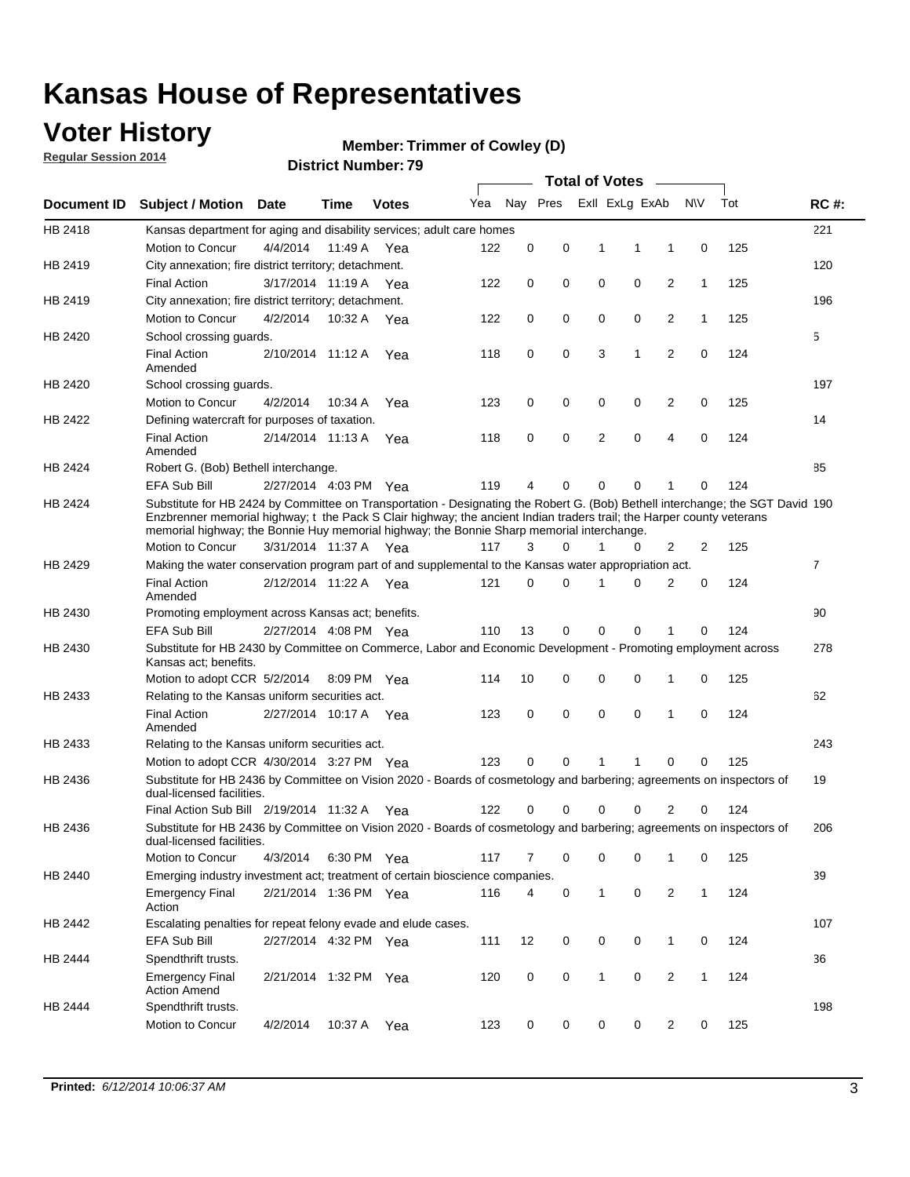### **Voter History**

**Regular Session 2014**

#### **Member: Trimmer of Cowley (D)**

|                                                                                                 |                                                                                                                                                                                                                                                                                                                                                      |                       |         |              |     |          |             | <b>Total of Votes</b> |             |                |              |     |             |
|-------------------------------------------------------------------------------------------------|------------------------------------------------------------------------------------------------------------------------------------------------------------------------------------------------------------------------------------------------------------------------------------------------------------------------------------------------------|-----------------------|---------|--------------|-----|----------|-------------|-----------------------|-------------|----------------|--------------|-----|-------------|
| Document ID                                                                                     | <b>Subject / Motion Date</b>                                                                                                                                                                                                                                                                                                                         |                       | Time    | <b>Votes</b> | Yea | Nay Pres |             | Exll ExLg ExAb        |             |                | N\V          | Tot | <b>RC#:</b> |
| HB 2418                                                                                         | Kansas department for aging and disability services; adult care homes                                                                                                                                                                                                                                                                                |                       |         |              |     |          |             |                       |             |                |              |     | 221         |
|                                                                                                 | Motion to Concur                                                                                                                                                                                                                                                                                                                                     | 4/4/2014              | 11:49 A | Yea          | 122 | 0        | 0           | 1                     | 1           | 1              | 0            | 125 |             |
| HB 2419                                                                                         | City annexation; fire district territory; detachment.                                                                                                                                                                                                                                                                                                |                       |         |              |     |          |             |                       |             |                |              |     | 120         |
| HB 2419<br>HB 2420<br>HB 2422<br>HB 2429<br>HB 2430<br>HB 2436<br>HB 2440<br>HB 2442<br>HB 2444 | <b>Final Action</b>                                                                                                                                                                                                                                                                                                                                  | 3/17/2014 11:19 A     |         | Yea          | 122 | 0        | 0           | 0                     | 0           | $\overline{2}$ | $\mathbf{1}$ | 125 |             |
|                                                                                                 | City annexation; fire district territory; detachment.                                                                                                                                                                                                                                                                                                |                       |         |              |     |          |             |                       |             |                |              |     | 196         |
|                                                                                                 | Motion to Concur                                                                                                                                                                                                                                                                                                                                     | 4/2/2014              | 10:32 A | Yea          | 122 | 0        | 0           | 0                     | 0           | $\overline{2}$ | $\mathbf{1}$ | 125 |             |
|                                                                                                 | School crossing guards.                                                                                                                                                                                                                                                                                                                              |                       |         |              |     |          |             |                       |             |                |              |     | 5           |
|                                                                                                 | <b>Final Action</b><br>Amended                                                                                                                                                                                                                                                                                                                       | 2/10/2014 11:12 A     |         | Yea          | 118 | 0        | 0           | 3                     | 1           | 2              | 0            | 124 |             |
| HB 2420                                                                                         | School crossing guards.                                                                                                                                                                                                                                                                                                                              |                       |         |              |     |          |             |                       |             |                |              |     | 197         |
|                                                                                                 | Motion to Concur                                                                                                                                                                                                                                                                                                                                     | 4/2/2014              | 10:34 A | Yea          | 123 | 0        | 0           | 0                     | 0           | 2              | 0            | 125 |             |
|                                                                                                 | Defining watercraft for purposes of taxation.                                                                                                                                                                                                                                                                                                        |                       |         |              |     |          |             |                       |             |                |              |     | 14          |
|                                                                                                 | <b>Final Action</b><br>Amended                                                                                                                                                                                                                                                                                                                       | 2/14/2014 11:13 A     |         | Yea          | 118 | 0        | 0           | 2                     | 0           | $\overline{4}$ | 0            | 124 |             |
| HB 2424                                                                                         | Robert G. (Bob) Bethell interchange.                                                                                                                                                                                                                                                                                                                 |                       |         |              |     |          |             |                       |             |                |              |     | 85          |
|                                                                                                 | EFA Sub Bill                                                                                                                                                                                                                                                                                                                                         | 2/27/2014 4:03 PM Yea |         |              | 119 | 4        | 0           | $\mathbf 0$           | $\Omega$    | 1              | 0            | 124 |             |
| HB 2424                                                                                         | Substitute for HB 2424 by Committee on Transportation - Designating the Robert G. (Bob) Bethell interchange; the SGT David 190<br>Enzbrenner memorial highway; t the Pack S Clair highway; the ancient Indian traders trail; the Harper county veterans<br>memorial highway; the Bonnie Huy memorial highway; the Bonnie Sharp memorial interchange. |                       |         |              |     |          |             |                       |             |                |              |     |             |
|                                                                                                 | Motion to Concur                                                                                                                                                                                                                                                                                                                                     | 3/31/2014 11:37 A Yea |         |              | 117 | 3        | 0           | 1                     | 0           | 2              | 2            | 125 |             |
|                                                                                                 | Making the water conservation program part of and supplemental to the Kansas water appropriation act.                                                                                                                                                                                                                                                |                       |         |              |     |          |             |                       |             |                |              |     | 7           |
|                                                                                                 | <b>Final Action</b><br>Amended                                                                                                                                                                                                                                                                                                                       | 2/12/2014 11:22 A     |         | Yea          | 121 | 0        | $\mathbf 0$ | 1                     | 0           | 2              | 0            | 124 |             |
| HB 2430                                                                                         | Promoting employment across Kansas act; benefits.                                                                                                                                                                                                                                                                                                    |                       |         |              |     |          |             |                       |             |                |              |     | 90          |
|                                                                                                 | EFA Sub Bill                                                                                                                                                                                                                                                                                                                                         | 2/27/2014 4:08 PM Yea |         |              | 110 | 13       | 0           | 0                     | 0           |                | 0            | 124 |             |
|                                                                                                 | Substitute for HB 2430 by Committee on Commerce, Labor and Economic Development - Promoting employment across<br>Kansas act; benefits.                                                                                                                                                                                                               |                       |         |              |     |          |             |                       |             |                |              |     | 278         |
|                                                                                                 | Motion to adopt CCR 5/2/2014                                                                                                                                                                                                                                                                                                                         |                       |         | 8:09 PM Yea  | 114 | 10       | 0           | 0                     | 0           | 1              | 0            | 125 |             |
| HB 2433                                                                                         | Relating to the Kansas uniform securities act.                                                                                                                                                                                                                                                                                                       |                       |         |              |     |          |             |                       |             |                |              |     | 62          |
|                                                                                                 | <b>Final Action</b><br>Amended                                                                                                                                                                                                                                                                                                                       | 2/27/2014 10:17 A     |         | Yea          | 123 | 0        | 0           | $\mathbf 0$           | $\mathbf 0$ | 1              | 0            | 124 |             |
| HB 2433                                                                                         | Relating to the Kansas uniform securities act.                                                                                                                                                                                                                                                                                                       |                       |         |              |     |          |             |                       |             |                |              |     | 243         |
|                                                                                                 | Motion to adopt CCR 4/30/2014 3:27 PM Yea                                                                                                                                                                                                                                                                                                            |                       |         |              | 123 | 0        | 0           |                       | 1           | $\Omega$       | 0            | 125 |             |
|                                                                                                 | Substitute for HB 2436 by Committee on Vision 2020 - Boards of cosmetology and barbering; agreements on inspectors of<br>dual-licensed facilities.                                                                                                                                                                                                   |                       |         |              |     |          |             |                       |             |                |              |     | 19          |
|                                                                                                 | Final Action Sub Bill 2/19/2014 11:32 A                                                                                                                                                                                                                                                                                                              |                       |         | Yea          | 122 | 0        | 0           | $\Omega$              | 0           | 2              | 0            | 124 |             |
| HB 2436                                                                                         | Substitute for HB 2436 by Committee on Vision 2020 - Boards of cosmetology and barbering; agreements on inspectors of<br>dual-licensed facilities.                                                                                                                                                                                                   |                       |         |              |     |          |             |                       |             |                |              |     | 206         |
|                                                                                                 | Motion to Concur                                                                                                                                                                                                                                                                                                                                     | 4/3/2014              |         | 6:30 PM Yea  | 117 | 7        | 0           | 0                     | $\mathbf 0$ |                | 0            | 125 |             |
|                                                                                                 | Emerging industry investment act; treatment of certain bioscience companies.                                                                                                                                                                                                                                                                         |                       |         |              |     |          |             |                       |             |                |              |     | 39          |
|                                                                                                 | <b>Emergency Final</b><br>Action                                                                                                                                                                                                                                                                                                                     | 2/21/2014 1:36 PM Yea |         |              | 116 | 4        | 0           | $\mathbf{1}$          | 0           | $\overline{c}$ | $\mathbf{1}$ | 124 |             |
|                                                                                                 | Escalating penalties for repeat felony evade and elude cases.                                                                                                                                                                                                                                                                                        |                       |         |              |     |          |             |                       |             |                |              |     | 107         |
|                                                                                                 | EFA Sub Bill                                                                                                                                                                                                                                                                                                                                         | 2/27/2014 4:32 PM Yea |         |              | 111 | 12       | 0           | 0                     | 0           | $\mathbf{1}$   | 0            | 124 |             |
|                                                                                                 | Spendthrift trusts.                                                                                                                                                                                                                                                                                                                                  |                       |         |              |     |          |             |                       |             |                |              |     | 36          |
|                                                                                                 | <b>Emergency Final</b><br><b>Action Amend</b>                                                                                                                                                                                                                                                                                                        | 2/21/2014 1:32 PM Yea |         |              | 120 | 0        | 0           | $\mathbf{1}$          | 0           | $\overline{c}$ | $\mathbf{1}$ | 124 |             |
| HB 2444                                                                                         | Spendthrift trusts.<br>Motion to Concur                                                                                                                                                                                                                                                                                                              | 4/2/2014              | 10:37 A | Yea          | 123 | 0        | 0           | 0                     | 0           | 2              | 0            | 125 | 198         |
|                                                                                                 |                                                                                                                                                                                                                                                                                                                                                      |                       |         |              |     |          |             |                       |             |                |              |     |             |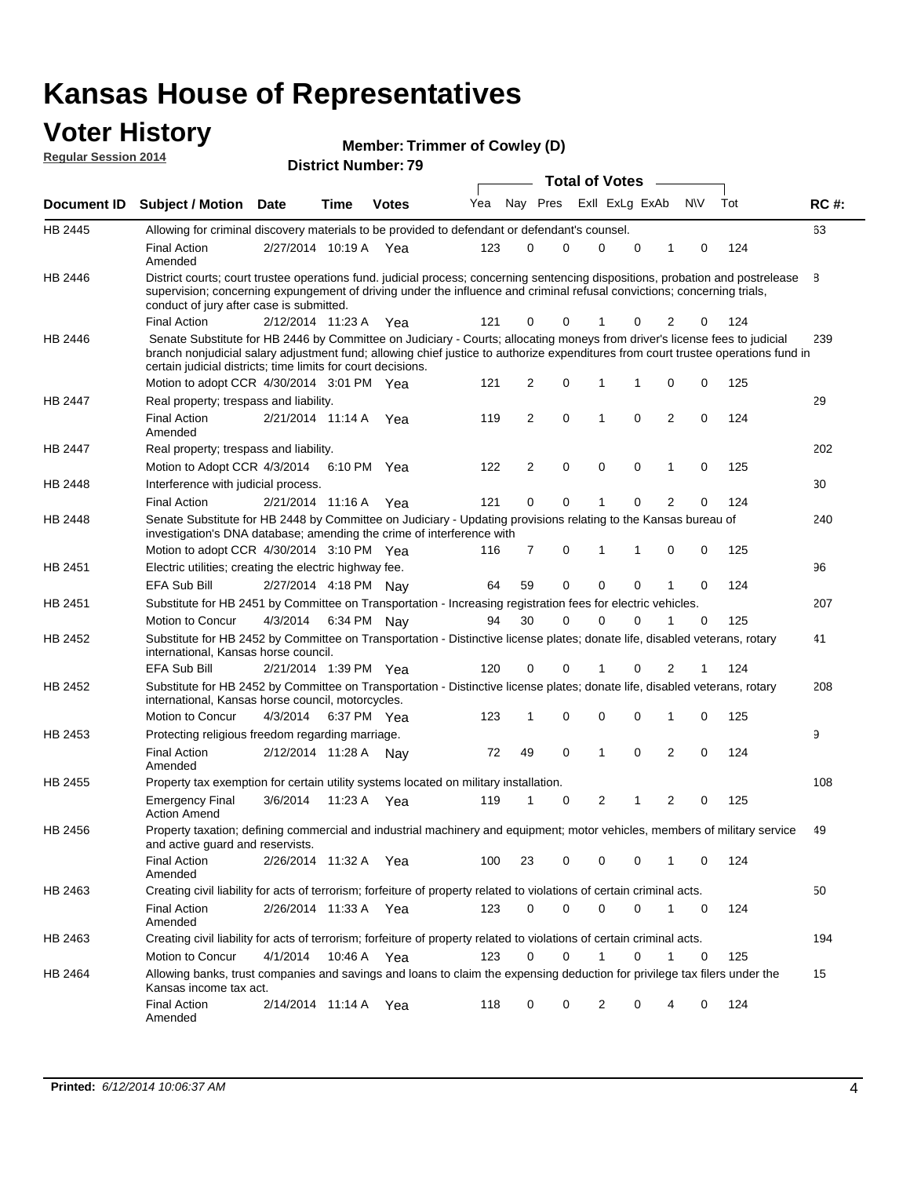#### **Voter History**

**Regular Session 2014**

| <b>Member: Trimmer of Cowley (D)</b> |
|--------------------------------------|
|--------------------------------------|

**Document ID Subject / Motion Date Time Votes** Yea Nay Pres ExII ExLg ExAb N\V Tot RC #: **District Number: 79 Date Votes Total of Votes Time** ExII ExLg ExAb 63 2/27/2014 Final Action Yea 124 10:19 A 123 0 0 0 10 0 HB 2445 Amended Allowing for criminal discovery materials to be provided to defendant or defendant's counsel. 8 2/12/2014 Final Action Yea 124 11:23 A 121 0 0 0 20 1 HB 2446 District courts; court trustee operations fund. judicial process; concerning sentencing dispositions, probation and postrelease supervision; concerning expungement of driving under the influence and criminal refusal convictions; concerning trials, conduct of jury after case is submitted. 239 Motion to adopt CCR 4/30/2014 3:01 PM Yea  $121 \quad 2 \quad 0 \quad 1 \quad 1 \quad 0 \quad 0 \quad 125$ HB 2446 Senate Substitute for HB 2446 by Committee on Judiciary - Courts; allocating moneys from driver's license fees to judicial branch nonjudicial salary adjustment fund; allowing chief justice to authorize expenditures from court trustee operations fund in certain judicial districts; time limits for court decisions. 29 2/21/2014 Final Action Yea 124 11:14 A 119 2 0 0 20 1 HB 2447 Amended Real property; trespass and liability. 202 Motion to Adopt CCR 4/3/2014 6:10 PM Yea  $122$  2 0 0 0 1 0 125 HB 2447 Real property; trespass and liability. 30 2/21/2014 Final Action Yea 124 HB 2448 Interference with judicial process. 11:16 A 121 0 0 0 20 1 240 Motion to adopt CCR 4/30/2014 3:10 PM Yea  $116$  7 0 1 1 0 0 125 HB 2448 Senate Substitute for HB 2448 by Committee on Judiciary - Updating provisions relating to the Kansas bureau of investigation's DNA database; amending the crime of interference with 96 EFA Sub Bill 2/27/2014 4:18 PM Nay 64 59 0 0 0 0 1 0 124 HB 2451 Electric utilities; creating the electric highway fee. 207 4/3/2014 HB 2451 Motion to Concur 4/3/2014 6:34 PM Nay 94 30 0 0 1 0 125 Substitute for HB 2451 by Committee on Transportation - Increasing registration fees for electric vehicles. 41 2/21/2014 EFA Sub Bill Yea 124 1:39 PM 120 0 0 0 21 1 HB 2452 Substitute for HB 2452 by Committee on Transportation - Distinctive license plates; donate life, disabled veterans, rotary international, Kansas horse council. 208 4/3/2014 Motion to Concur Yea 125 6:37 PM 123 1 0 0 10 0 HB 2452 Substitute for HB 2452 by Committee on Transportation - Distinctive license plates; donate life, disabled veterans, rotary international, Kansas horse council, motorcycles. 9 Final Action 2/12/2014 11:28 A Nay 72 49 0 1 0 2 0 124 HB 2453 Amended Protecting religious freedom regarding marriage. 108 3/6/2014 HB 2455 Emergency Final Yea 125 11:23 A 119 1 1 0 20 2 Action Amend Property tax exemption for certain utility systems located on military installation. 49 2/26/2014 Final Action Yea 124 11:32 A 100 23 0 0 10 0 HB 2456 Amended Property taxation; defining commercial and industrial machinery and equipment; motor vehicles, members of military service and active guard and reservists. 50 2/26/2014 Final Action Yea 124 11:33 A 123 0 0 0 10 0 HB 2463 Amended Creating civil liability for acts of terrorism; forfeiture of property related to violations of certain criminal acts. 194 4/1/2014 HB 2463 Motion to Concur 4/1/2014 10:46 A Yea 123 0 0 1 0 1 0 125 Creating civil liability for acts of terrorism; forfeiture of property related to violations of certain criminal acts. 10:46 A 15 2/14/2014 Final Action Yea 124 11:14 A 118 0 0 0 40 2 HB 2464 Amended Allowing banks, trust companies and savings and loans to claim the expensing deduction for privilege tax filers under the Kansas income tax act.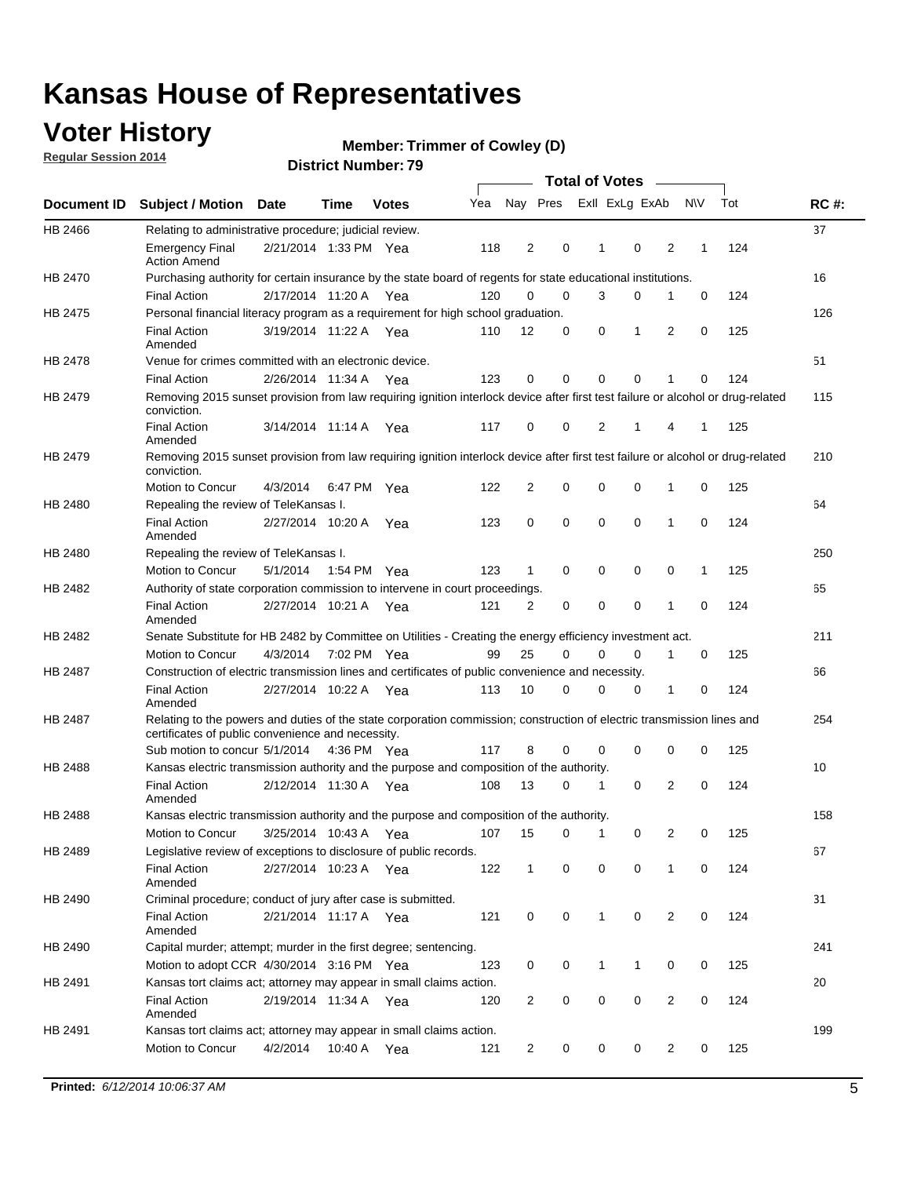### **Voter History**

**Regular Session 2014**

#### **Member: Trimmer of Cowley (D)**

|                    |                                                                                                                                                                                                                                                                                                                                                                                                                                                                                                                                                                                                                                                                                                                                                                                                                                                                                                                                                                                                                                                                                                                                                                                                                                                                                                                                                                                                                                                                                                                                                                                                                                                                                                                                                                                                                                                                                                                                                                                                                                                                                                                                                                                                                                                                                                                                                                                                                                                                                                                                                                                                                                                                                                                                         |             |         |              |     |                |          | <b>Total of Votes</b> |             |                         |           |                                                                                                                                                                                                                                                                         |             |
|--------------------|-----------------------------------------------------------------------------------------------------------------------------------------------------------------------------------------------------------------------------------------------------------------------------------------------------------------------------------------------------------------------------------------------------------------------------------------------------------------------------------------------------------------------------------------------------------------------------------------------------------------------------------------------------------------------------------------------------------------------------------------------------------------------------------------------------------------------------------------------------------------------------------------------------------------------------------------------------------------------------------------------------------------------------------------------------------------------------------------------------------------------------------------------------------------------------------------------------------------------------------------------------------------------------------------------------------------------------------------------------------------------------------------------------------------------------------------------------------------------------------------------------------------------------------------------------------------------------------------------------------------------------------------------------------------------------------------------------------------------------------------------------------------------------------------------------------------------------------------------------------------------------------------------------------------------------------------------------------------------------------------------------------------------------------------------------------------------------------------------------------------------------------------------------------------------------------------------------------------------------------------------------------------------------------------------------------------------------------------------------------------------------------------------------------------------------------------------------------------------------------------------------------------------------------------------------------------------------------------------------------------------------------------------------------------------------------------------------------------------------------------|-------------|---------|--------------|-----|----------------|----------|-----------------------|-------------|-------------------------|-----------|-------------------------------------------------------------------------------------------------------------------------------------------------------------------------------------------------------------------------------------------------------------------------|-------------|
| <b>Document ID</b> | <b>Subject / Motion</b>                                                                                                                                                                                                                                                                                                                                                                                                                                                                                                                                                                                                                                                                                                                                                                                                                                                                                                                                                                                                                                                                                                                                                                                                                                                                                                                                                                                                                                                                                                                                                                                                                                                                                                                                                                                                                                                                                                                                                                                                                                                                                                                                                                                                                                                                                                                                                                                                                                                                                                                                                                                                                                                                                                                 | <b>Date</b> | Time    | <b>Votes</b> | Yea | Nay Pres       |          | Exll ExLg ExAb        |             |                         | <b>NV</b> | Tot                                                                                                                                                                                                                                                                     | <b>RC#:</b> |
| HB 2466            |                                                                                                                                                                                                                                                                                                                                                                                                                                                                                                                                                                                                                                                                                                                                                                                                                                                                                                                                                                                                                                                                                                                                                                                                                                                                                                                                                                                                                                                                                                                                                                                                                                                                                                                                                                                                                                                                                                                                                                                                                                                                                                                                                                                                                                                                                                                                                                                                                                                                                                                                                                                                                                                                                                                                         |             |         |              |     |                |          |                       |             |                         |           |                                                                                                                                                                                                                                                                         | 37          |
|                    | <b>Emergency Final</b><br><b>Action Amend</b>                                                                                                                                                                                                                                                                                                                                                                                                                                                                                                                                                                                                                                                                                                                                                                                                                                                                                                                                                                                                                                                                                                                                                                                                                                                                                                                                                                                                                                                                                                                                                                                                                                                                                                                                                                                                                                                                                                                                                                                                                                                                                                                                                                                                                                                                                                                                                                                                                                                                                                                                                                                                                                                                                           |             |         |              | 118 | 2              | 0        | 1                     | 0           | 2                       | 1         | 124                                                                                                                                                                                                                                                                     |             |
| <b>HB 2470</b>     |                                                                                                                                                                                                                                                                                                                                                                                                                                                                                                                                                                                                                                                                                                                                                                                                                                                                                                                                                                                                                                                                                                                                                                                                                                                                                                                                                                                                                                                                                                                                                                                                                                                                                                                                                                                                                                                                                                                                                                                                                                                                                                                                                                                                                                                                                                                                                                                                                                                                                                                                                                                                                                                                                                                                         |             |         |              |     |                |          |                       |             |                         |           |                                                                                                                                                                                                                                                                         | 16          |
|                    | <b>Final Action</b>                                                                                                                                                                                                                                                                                                                                                                                                                                                                                                                                                                                                                                                                                                                                                                                                                                                                                                                                                                                                                                                                                                                                                                                                                                                                                                                                                                                                                                                                                                                                                                                                                                                                                                                                                                                                                                                                                                                                                                                                                                                                                                                                                                                                                                                                                                                                                                                                                                                                                                                                                                                                                                                                                                                     |             |         |              | 120 | 0              | 0        | 3                     | 0           | 1                       | 0         | 124<br>125<br>0<br>51<br>124<br>0<br>125<br>1<br>0<br>125<br>64<br>124<br>$\mathbf 0$<br>125<br>1<br>65<br>$\mathbf 0$<br>124<br>125<br>0<br>66<br>0<br>124<br>0<br>125<br>10<br>124<br>0<br>125<br>0<br>67<br>0<br>124<br>31<br>124<br>0<br>125<br>0<br>20<br>124<br>0 |             |
| HB 2475            | Relating to administrative procedure; judicial review.<br>2/21/2014 1:33 PM Yea<br>Purchasing authority for certain insurance by the state board of regents for state educational institutions.<br>2/17/2014 11:20 A Yea<br>Personal financial literacy program as a requirement for high school graduation.<br>3/19/2014 11:22 A Yea<br><b>Final Action</b><br>110<br>Amended<br>Venue for crimes committed with an electronic device.<br><b>Final Action</b><br>123<br>2/26/2014 11:34 A<br>Yea<br>Removing 2015 sunset provision from law requiring ignition interlock device after first test failure or alcohol or drug-related<br>conviction.<br><b>Final Action</b><br>117<br>3/14/2014 11:14 A<br>Yea<br>Amended<br>Removing 2015 sunset provision from law requiring ignition interlock device after first test failure or alcohol or drug-related<br>conviction.<br><b>Motion to Concur</b><br>4/3/2014<br>6:47 PM Yea<br>122<br>Repealing the review of TeleKansas I.<br><b>Final Action</b><br>2/27/2014 10:20 A<br>123<br>Yea<br>Amended<br>Repealing the review of TeleKansas I.<br>Motion to Concur<br>5/1/2014<br>1:54 PM Yea<br>123<br>Authority of state corporation commission to intervene in court proceedings.<br><b>Final Action</b><br>2/27/2014 10:21 A<br>121<br>Yea<br>Amended<br>Senate Substitute for HB 2482 by Committee on Utilities - Creating the energy efficiency investment act.<br>4/3/2014 7:02 PM Yea<br>99<br>Motion to Concur<br>Construction of electric transmission lines and certificates of public convenience and necessity.<br><b>Final Action</b><br>2/27/2014 10:22 A<br>113<br>Yea<br>Amended<br>Relating to the powers and duties of the state corporation commission; construction of electric transmission lines and<br>certificates of public convenience and necessity.<br>117<br>Sub motion to concur 5/1/2014 4:36 PM Yea<br>Kansas electric transmission authority and the purpose and composition of the authority.<br><b>Final Action</b><br>2/12/2014 11:30 A<br>108<br>Yea<br>Amended<br>Kansas electric transmission authority and the purpose and composition of the authority.<br>Motion to Concur<br>3/25/2014 10:43 A<br>107<br>Yea<br>Legislative review of exceptions to disclosure of public records.<br><b>Final Action</b><br>2/27/2014 10:23 A Yea<br>122<br>Amended<br>Criminal procedure; conduct of jury after case is submitted.<br><b>Final Action</b><br>2/21/2014 11:17 A Yea<br>121<br>Amended<br>Capital murder; attempt; murder in the first degree; sentencing.<br>Motion to adopt CCR 4/30/2014 3:16 PM Yea<br>123<br>Kansas tort claims act; attorney may appear in small claims action.<br>2/19/2014 11:34 A Yea<br><b>Final Action</b><br>120 |             |         |              |     |                |          |                       | 126         |                         |           |                                                                                                                                                                                                                                                                         |             |
|                    |                                                                                                                                                                                                                                                                                                                                                                                                                                                                                                                                                                                                                                                                                                                                                                                                                                                                                                                                                                                                                                                                                                                                                                                                                                                                                                                                                                                                                                                                                                                                                                                                                                                                                                                                                                                                                                                                                                                                                                                                                                                                                                                                                                                                                                                                                                                                                                                                                                                                                                                                                                                                                                                                                                                                         |             |         |              |     | 12             | 0        | 0                     | 1           | 2                       |           |                                                                                                                                                                                                                                                                         |             |
| HB 2478            |                                                                                                                                                                                                                                                                                                                                                                                                                                                                                                                                                                                                                                                                                                                                                                                                                                                                                                                                                                                                                                                                                                                                                                                                                                                                                                                                                                                                                                                                                                                                                                                                                                                                                                                                                                                                                                                                                                                                                                                                                                                                                                                                                                                                                                                                                                                                                                                                                                                                                                                                                                                                                                                                                                                                         |             |         |              |     |                |          |                       |             |                         |           |                                                                                                                                                                                                                                                                         |             |
|                    |                                                                                                                                                                                                                                                                                                                                                                                                                                                                                                                                                                                                                                                                                                                                                                                                                                                                                                                                                                                                                                                                                                                                                                                                                                                                                                                                                                                                                                                                                                                                                                                                                                                                                                                                                                                                                                                                                                                                                                                                                                                                                                                                                                                                                                                                                                                                                                                                                                                                                                                                                                                                                                                                                                                                         |             |         |              |     | 0              | 0        | $\mathbf 0$           | 0           | 1                       |           |                                                                                                                                                                                                                                                                         |             |
| HB 2479            |                                                                                                                                                                                                                                                                                                                                                                                                                                                                                                                                                                                                                                                                                                                                                                                                                                                                                                                                                                                                                                                                                                                                                                                                                                                                                                                                                                                                                                                                                                                                                                                                                                                                                                                                                                                                                                                                                                                                                                                                                                                                                                                                                                                                                                                                                                                                                                                                                                                                                                                                                                                                                                                                                                                                         |             |         |              |     |                |          |                       |             |                         |           |                                                                                                                                                                                                                                                                         | 115         |
|                    |                                                                                                                                                                                                                                                                                                                                                                                                                                                                                                                                                                                                                                                                                                                                                                                                                                                                                                                                                                                                                                                                                                                                                                                                                                                                                                                                                                                                                                                                                                                                                                                                                                                                                                                                                                                                                                                                                                                                                                                                                                                                                                                                                                                                                                                                                                                                                                                                                                                                                                                                                                                                                                                                                                                                         |             |         |              |     | 0              | 0        | 2                     | 1           | 4                       |           |                                                                                                                                                                                                                                                                         |             |
| HB 2479            |                                                                                                                                                                                                                                                                                                                                                                                                                                                                                                                                                                                                                                                                                                                                                                                                                                                                                                                                                                                                                                                                                                                                                                                                                                                                                                                                                                                                                                                                                                                                                                                                                                                                                                                                                                                                                                                                                                                                                                                                                                                                                                                                                                                                                                                                                                                                                                                                                                                                                                                                                                                                                                                                                                                                         |             |         |              |     |                |          |                       |             |                         |           |                                                                                                                                                                                                                                                                         | 210         |
|                    |                                                                                                                                                                                                                                                                                                                                                                                                                                                                                                                                                                                                                                                                                                                                                                                                                                                                                                                                                                                                                                                                                                                                                                                                                                                                                                                                                                                                                                                                                                                                                                                                                                                                                                                                                                                                                                                                                                                                                                                                                                                                                                                                                                                                                                                                                                                                                                                                                                                                                                                                                                                                                                                                                                                                         |             |         |              |     | $\overline{2}$ | 0        | $\mathbf 0$           | $\mathbf 0$ | 1                       |           |                                                                                                                                                                                                                                                                         |             |
| HB 2480            |                                                                                                                                                                                                                                                                                                                                                                                                                                                                                                                                                                                                                                                                                                                                                                                                                                                                                                                                                                                                                                                                                                                                                                                                                                                                                                                                                                                                                                                                                                                                                                                                                                                                                                                                                                                                                                                                                                                                                                                                                                                                                                                                                                                                                                                                                                                                                                                                                                                                                                                                                                                                                                                                                                                                         |             |         |              |     |                |          |                       |             |                         |           |                                                                                                                                                                                                                                                                         |             |
|                    |                                                                                                                                                                                                                                                                                                                                                                                                                                                                                                                                                                                                                                                                                                                                                                                                                                                                                                                                                                                                                                                                                                                                                                                                                                                                                                                                                                                                                                                                                                                                                                                                                                                                                                                                                                                                                                                                                                                                                                                                                                                                                                                                                                                                                                                                                                                                                                                                                                                                                                                                                                                                                                                                                                                                         |             |         |              |     | 0              | 0        | $\mathbf 0$           | $\mathbf 0$ | 1                       |           |                                                                                                                                                                                                                                                                         |             |
| HB 2480            |                                                                                                                                                                                                                                                                                                                                                                                                                                                                                                                                                                                                                                                                                                                                                                                                                                                                                                                                                                                                                                                                                                                                                                                                                                                                                                                                                                                                                                                                                                                                                                                                                                                                                                                                                                                                                                                                                                                                                                                                                                                                                                                                                                                                                                                                                                                                                                                                                                                                                                                                                                                                                                                                                                                                         |             |         |              |     |                |          |                       |             |                         |           |                                                                                                                                                                                                                                                                         | 250         |
|                    |                                                                                                                                                                                                                                                                                                                                                                                                                                                                                                                                                                                                                                                                                                                                                                                                                                                                                                                                                                                                                                                                                                                                                                                                                                                                                                                                                                                                                                                                                                                                                                                                                                                                                                                                                                                                                                                                                                                                                                                                                                                                                                                                                                                                                                                                                                                                                                                                                                                                                                                                                                                                                                                                                                                                         |             |         |              |     | 1              | 0        | 0                     | 0           | 0                       |           |                                                                                                                                                                                                                                                                         |             |
| HB 2482            |                                                                                                                                                                                                                                                                                                                                                                                                                                                                                                                                                                                                                                                                                                                                                                                                                                                                                                                                                                                                                                                                                                                                                                                                                                                                                                                                                                                                                                                                                                                                                                                                                                                                                                                                                                                                                                                                                                                                                                                                                                                                                                                                                                                                                                                                                                                                                                                                                                                                                                                                                                                                                                                                                                                                         |             |         |              |     |                |          |                       |             |                         |           |                                                                                                                                                                                                                                                                         |             |
|                    |                                                                                                                                                                                                                                                                                                                                                                                                                                                                                                                                                                                                                                                                                                                                                                                                                                                                                                                                                                                                                                                                                                                                                                                                                                                                                                                                                                                                                                                                                                                                                                                                                                                                                                                                                                                                                                                                                                                                                                                                                                                                                                                                                                                                                                                                                                                                                                                                                                                                                                                                                                                                                                                                                                                                         |             |         |              |     | 2              | 0        | $\mathbf 0$           | $\mathbf 0$ | 1                       |           |                                                                                                                                                                                                                                                                         |             |
| HB 2482            |                                                                                                                                                                                                                                                                                                                                                                                                                                                                                                                                                                                                                                                                                                                                                                                                                                                                                                                                                                                                                                                                                                                                                                                                                                                                                                                                                                                                                                                                                                                                                                                                                                                                                                                                                                                                                                                                                                                                                                                                                                                                                                                                                                                                                                                                                                                                                                                                                                                                                                                                                                                                                                                                                                                                         |             |         |              |     |                |          |                       |             |                         |           |                                                                                                                                                                                                                                                                         | 211         |
|                    |                                                                                                                                                                                                                                                                                                                                                                                                                                                                                                                                                                                                                                                                                                                                                                                                                                                                                                                                                                                                                                                                                                                                                                                                                                                                                                                                                                                                                                                                                                                                                                                                                                                                                                                                                                                                                                                                                                                                                                                                                                                                                                                                                                                                                                                                                                                                                                                                                                                                                                                                                                                                                                                                                                                                         |             |         |              |     | 25             | $\Omega$ | 0                     | 0           | 1                       |           |                                                                                                                                                                                                                                                                         |             |
| HB 2487            |                                                                                                                                                                                                                                                                                                                                                                                                                                                                                                                                                                                                                                                                                                                                                                                                                                                                                                                                                                                                                                                                                                                                                                                                                                                                                                                                                                                                                                                                                                                                                                                                                                                                                                                                                                                                                                                                                                                                                                                                                                                                                                                                                                                                                                                                                                                                                                                                                                                                                                                                                                                                                                                                                                                                         |             |         |              |     |                |          |                       |             |                         |           |                                                                                                                                                                                                                                                                         |             |
|                    |                                                                                                                                                                                                                                                                                                                                                                                                                                                                                                                                                                                                                                                                                                                                                                                                                                                                                                                                                                                                                                                                                                                                                                                                                                                                                                                                                                                                                                                                                                                                                                                                                                                                                                                                                                                                                                                                                                                                                                                                                                                                                                                                                                                                                                                                                                                                                                                                                                                                                                                                                                                                                                                                                                                                         |             |         |              |     | 10             | 0        | 0                     | 0           | 1                       |           |                                                                                                                                                                                                                                                                         |             |
| HB 2487            |                                                                                                                                                                                                                                                                                                                                                                                                                                                                                                                                                                                                                                                                                                                                                                                                                                                                                                                                                                                                                                                                                                                                                                                                                                                                                                                                                                                                                                                                                                                                                                                                                                                                                                                                                                                                                                                                                                                                                                                                                                                                                                                                                                                                                                                                                                                                                                                                                                                                                                                                                                                                                                                                                                                                         |             |         |              |     |                |          |                       |             |                         |           |                                                                                                                                                                                                                                                                         | 254         |
|                    |                                                                                                                                                                                                                                                                                                                                                                                                                                                                                                                                                                                                                                                                                                                                                                                                                                                                                                                                                                                                                                                                                                                                                                                                                                                                                                                                                                                                                                                                                                                                                                                                                                                                                                                                                                                                                                                                                                                                                                                                                                                                                                                                                                                                                                                                                                                                                                                                                                                                                                                                                                                                                                                                                                                                         |             |         |              |     | 8              | 0        | 0                     | 0           | 0                       |           |                                                                                                                                                                                                                                                                         |             |
| HB 2488            |                                                                                                                                                                                                                                                                                                                                                                                                                                                                                                                                                                                                                                                                                                                                                                                                                                                                                                                                                                                                                                                                                                                                                                                                                                                                                                                                                                                                                                                                                                                                                                                                                                                                                                                                                                                                                                                                                                                                                                                                                                                                                                                                                                                                                                                                                                                                                                                                                                                                                                                                                                                                                                                                                                                                         |             |         |              |     |                |          |                       |             |                         |           |                                                                                                                                                                                                                                                                         |             |
|                    |                                                                                                                                                                                                                                                                                                                                                                                                                                                                                                                                                                                                                                                                                                                                                                                                                                                                                                                                                                                                                                                                                                                                                                                                                                                                                                                                                                                                                                                                                                                                                                                                                                                                                                                                                                                                                                                                                                                                                                                                                                                                                                                                                                                                                                                                                                                                                                                                                                                                                                                                                                                                                                                                                                                                         |             |         |              |     | 13             | 0        | 1                     | $\mathbf 0$ | 2                       |           |                                                                                                                                                                                                                                                                         |             |
| <b>HB 2488</b>     |                                                                                                                                                                                                                                                                                                                                                                                                                                                                                                                                                                                                                                                                                                                                                                                                                                                                                                                                                                                                                                                                                                                                                                                                                                                                                                                                                                                                                                                                                                                                                                                                                                                                                                                                                                                                                                                                                                                                                                                                                                                                                                                                                                                                                                                                                                                                                                                                                                                                                                                                                                                                                                                                                                                                         |             |         |              |     |                |          |                       |             |                         |           |                                                                                                                                                                                                                                                                         | 158         |
|                    |                                                                                                                                                                                                                                                                                                                                                                                                                                                                                                                                                                                                                                                                                                                                                                                                                                                                                                                                                                                                                                                                                                                                                                                                                                                                                                                                                                                                                                                                                                                                                                                                                                                                                                                                                                                                                                                                                                                                                                                                                                                                                                                                                                                                                                                                                                                                                                                                                                                                                                                                                                                                                                                                                                                                         |             |         |              |     | 15             | 0        | 1                     | 0           | 2                       |           |                                                                                                                                                                                                                                                                         |             |
| HB 2489            |                                                                                                                                                                                                                                                                                                                                                                                                                                                                                                                                                                                                                                                                                                                                                                                                                                                                                                                                                                                                                                                                                                                                                                                                                                                                                                                                                                                                                                                                                                                                                                                                                                                                                                                                                                                                                                                                                                                                                                                                                                                                                                                                                                                                                                                                                                                                                                                                                                                                                                                                                                                                                                                                                                                                         |             |         |              |     |                |          |                       |             |                         |           |                                                                                                                                                                                                                                                                         |             |
|                    |                                                                                                                                                                                                                                                                                                                                                                                                                                                                                                                                                                                                                                                                                                                                                                                                                                                                                                                                                                                                                                                                                                                                                                                                                                                                                                                                                                                                                                                                                                                                                                                                                                                                                                                                                                                                                                                                                                                                                                                                                                                                                                                                                                                                                                                                                                                                                                                                                                                                                                                                                                                                                                                                                                                                         |             |         |              |     | $\mathbf 1$    | 0        | 0                     | 0           | 1                       |           |                                                                                                                                                                                                                                                                         |             |
| HB 2490            |                                                                                                                                                                                                                                                                                                                                                                                                                                                                                                                                                                                                                                                                                                                                                                                                                                                                                                                                                                                                                                                                                                                                                                                                                                                                                                                                                                                                                                                                                                                                                                                                                                                                                                                                                                                                                                                                                                                                                                                                                                                                                                                                                                                                                                                                                                                                                                                                                                                                                                                                                                                                                                                                                                                                         |             |         |              |     |                |          |                       |             |                         |           |                                                                                                                                                                                                                                                                         |             |
|                    |                                                                                                                                                                                                                                                                                                                                                                                                                                                                                                                                                                                                                                                                                                                                                                                                                                                                                                                                                                                                                                                                                                                                                                                                                                                                                                                                                                                                                                                                                                                                                                                                                                                                                                                                                                                                                                                                                                                                                                                                                                                                                                                                                                                                                                                                                                                                                                                                                                                                                                                                                                                                                                                                                                                                         |             |         |              |     | 0              | 0        | 1                     | $\mathbf 0$ | 2                       |           |                                                                                                                                                                                                                                                                         |             |
| HB 2490            |                                                                                                                                                                                                                                                                                                                                                                                                                                                                                                                                                                                                                                                                                                                                                                                                                                                                                                                                                                                                                                                                                                                                                                                                                                                                                                                                                                                                                                                                                                                                                                                                                                                                                                                                                                                                                                                                                                                                                                                                                                                                                                                                                                                                                                                                                                                                                                                                                                                                                                                                                                                                                                                                                                                                         |             |         |              |     |                |          |                       |             |                         |           |                                                                                                                                                                                                                                                                         | 241         |
|                    |                                                                                                                                                                                                                                                                                                                                                                                                                                                                                                                                                                                                                                                                                                                                                                                                                                                                                                                                                                                                                                                                                                                                                                                                                                                                                                                                                                                                                                                                                                                                                                                                                                                                                                                                                                                                                                                                                                                                                                                                                                                                                                                                                                                                                                                                                                                                                                                                                                                                                                                                                                                                                                                                                                                                         |             |         |              |     | 0              | 0        | 1                     | 1           | 0                       |           |                                                                                                                                                                                                                                                                         |             |
| HB 2491            |                                                                                                                                                                                                                                                                                                                                                                                                                                                                                                                                                                                                                                                                                                                                                                                                                                                                                                                                                                                                                                                                                                                                                                                                                                                                                                                                                                                                                                                                                                                                                                                                                                                                                                                                                                                                                                                                                                                                                                                                                                                                                                                                                                                                                                                                                                                                                                                                                                                                                                                                                                                                                                                                                                                                         |             |         |              |     |                |          |                       |             |                         |           |                                                                                                                                                                                                                                                                         |             |
|                    | Amended                                                                                                                                                                                                                                                                                                                                                                                                                                                                                                                                                                                                                                                                                                                                                                                                                                                                                                                                                                                                                                                                                                                                                                                                                                                                                                                                                                                                                                                                                                                                                                                                                                                                                                                                                                                                                                                                                                                                                                                                                                                                                                                                                                                                                                                                                                                                                                                                                                                                                                                                                                                                                                                                                                                                 |             |         |              |     | $\overline{2}$ | 0        | 0                     | 0           | $\overline{\mathbf{c}}$ |           |                                                                                                                                                                                                                                                                         |             |
| HB 2491            | Kansas tort claims act; attorney may appear in small claims action.                                                                                                                                                                                                                                                                                                                                                                                                                                                                                                                                                                                                                                                                                                                                                                                                                                                                                                                                                                                                                                                                                                                                                                                                                                                                                                                                                                                                                                                                                                                                                                                                                                                                                                                                                                                                                                                                                                                                                                                                                                                                                                                                                                                                                                                                                                                                                                                                                                                                                                                                                                                                                                                                     |             |         |              |     |                |          |                       |             |                         |           |                                                                                                                                                                                                                                                                         | 199         |
|                    | Motion to Concur                                                                                                                                                                                                                                                                                                                                                                                                                                                                                                                                                                                                                                                                                                                                                                                                                                                                                                                                                                                                                                                                                                                                                                                                                                                                                                                                                                                                                                                                                                                                                                                                                                                                                                                                                                                                                                                                                                                                                                                                                                                                                                                                                                                                                                                                                                                                                                                                                                                                                                                                                                                                                                                                                                                        | 4/2/2014    | 10:40 A | Yea          | 121 | $\overline{2}$ | 0        | 0                     | 0           | $\overline{2}$          | 0         | 125                                                                                                                                                                                                                                                                     |             |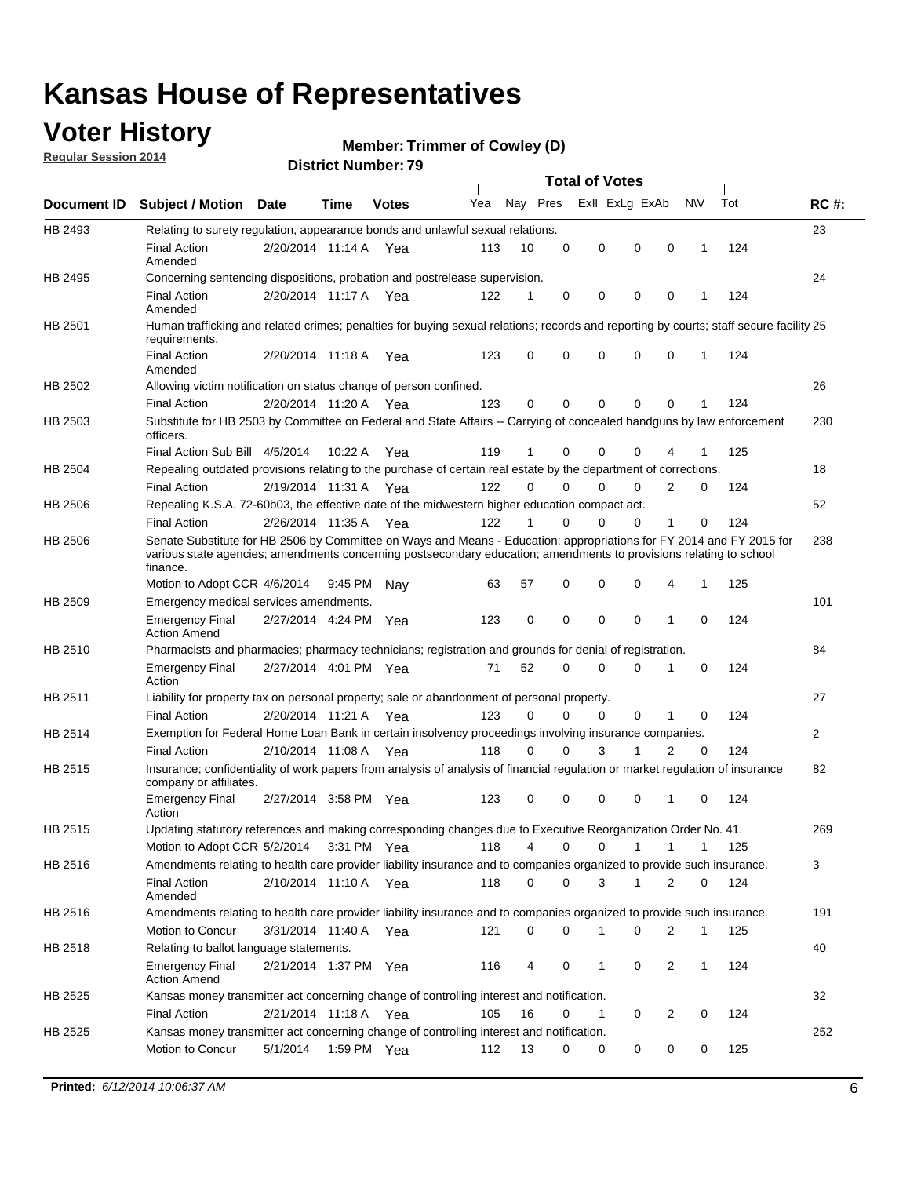### **Voter History**

**Regular Session 2014**

#### **Member: Trimmer of Cowley (D)**

|                |                                                                                                                                                                                                                                                        |                       |         |              |     |          |          | <b>Total of Votes</b> |              |                |              |     |              |
|----------------|--------------------------------------------------------------------------------------------------------------------------------------------------------------------------------------------------------------------------------------------------------|-----------------------|---------|--------------|-----|----------|----------|-----------------------|--------------|----------------|--------------|-----|--------------|
|                | Document ID Subject / Motion Date                                                                                                                                                                                                                      |                       | Time    | <b>Votes</b> | Yea | Nay Pres |          | Exll ExLg ExAb        |              |                | <b>NV</b>    | Tot | <b>RC#:</b>  |
| HB 2493        | Relating to surety regulation, appearance bonds and unlawful sexual relations.                                                                                                                                                                         |                       |         |              |     |          |          |                       |              |                |              |     | 23           |
|                | <b>Final Action</b><br>Amended                                                                                                                                                                                                                         | 2/20/2014 11:14 A Yea |         |              | 113 | 10       | 0        | 0                     | $\mathbf 0$  | 0              | $\mathbf{1}$ | 124 |              |
| HB 2495        | Concerning sentencing dispositions, probation and postrelease supervision.                                                                                                                                                                             |                       |         |              |     |          |          |                       |              |                |              |     | 24           |
|                | <b>Final Action</b><br>Amended                                                                                                                                                                                                                         | 2/20/2014 11:17 A Yea |         |              | 122 | 1        | 0        | 0                     | $\mathbf 0$  | 0              | -1           | 124 |              |
| HB 2501        | Human trafficking and related crimes; penalties for buying sexual relations; records and reporting by courts; staff secure facility 25<br>requirements.                                                                                                |                       |         |              |     |          |          |                       |              |                |              |     |              |
|                | <b>Final Action</b><br>Amended                                                                                                                                                                                                                         | 2/20/2014 11:18 A Yea |         |              | 123 | 0        | 0        | 0                     | $\Omega$     | 0              | $\mathbf{1}$ | 124 |              |
| HB 2502        | Allowing victim notification on status change of person confined.                                                                                                                                                                                      |                       |         |              |     |          |          |                       |              |                |              |     | 26           |
|                | <b>Final Action</b>                                                                                                                                                                                                                                    | 2/20/2014 11:20 A Yea |         |              | 123 | 0        | 0        | $\Omega$              | $\Omega$     | 0              |              | 124 |              |
| HB 2503        | Substitute for HB 2503 by Committee on Federal and State Affairs -- Carrying of concealed handguns by law enforcement<br>officers.                                                                                                                     |                       |         |              |     |          |          |                       |              |                |              |     | 230          |
|                | Final Action Sub Bill 4/5/2014                                                                                                                                                                                                                         |                       | 10:22 A | Yea          | 119 | 1        | 0        | $\Omega$              | $\Omega$     | 4              |              | 125 |              |
| HB 2504        | Repealing outdated provisions relating to the purchase of certain real estate by the department of corrections.                                                                                                                                        |                       |         |              |     |          |          |                       |              |                |              |     | 18           |
|                | <b>Final Action</b>                                                                                                                                                                                                                                    | 2/19/2014 11:31 A Yea |         |              | 122 | $\Omega$ | $\Omega$ | $\Omega$              | $\Omega$     | 2              | 0            | 124 |              |
| <b>HB 2506</b> | Repealing K.S.A. 72-60b03, the effective date of the midwestern higher education compact act.                                                                                                                                                          |                       |         |              |     |          |          |                       |              |                |              |     | 52           |
|                | <b>Final Action</b>                                                                                                                                                                                                                                    | 2/26/2014 11:35 A Yea |         |              | 122 |          | $\Omega$ | $\Omega$              | 0            | 1              | 0            | 124 |              |
| HB 2506        | Senate Substitute for HB 2506 by Committee on Ways and Means - Education; appropriations for FY 2014 and FY 2015 for<br>various state agencies; amendments concerning postsecondary education; amendments to provisions relating to school<br>finance. |                       |         |              |     |          |          |                       |              |                |              |     | 238          |
|                | Motion to Adopt CCR 4/6/2014                                                                                                                                                                                                                           |                       | 9:45 PM | Nav          | 63  | 57       | 0        | 0                     | 0            | 4              | -1           | 125 |              |
| HB 2509        | Emergency medical services amendments.                                                                                                                                                                                                                 |                       |         |              |     |          |          |                       |              |                |              |     | 101          |
|                | <b>Emergency Final</b><br><b>Action Amend</b>                                                                                                                                                                                                          | 2/27/2014 4:24 PM Yea |         |              | 123 | 0        | 0        | $\mathbf 0$           | $\mathbf 0$  | 1              | 0            | 124 |              |
| HB 2510        | Pharmacists and pharmacies; pharmacy technicians; registration and grounds for denial of registration.                                                                                                                                                 |                       |         |              |     |          |          |                       |              |                |              |     | 84           |
|                | <b>Emergency Final</b><br>Action                                                                                                                                                                                                                       | 2/27/2014 4:01 PM Yea |         |              | 71  | 52       | $\Omega$ | 0                     | $\Omega$     | 1              | 0            | 124 |              |
| HB 2511        | Liability for property tax on personal property; sale or abandonment of personal property.                                                                                                                                                             |                       |         |              |     |          |          |                       |              |                |              |     | 27           |
|                | <b>Final Action</b>                                                                                                                                                                                                                                    | 2/20/2014 11:21 A Yea |         |              | 123 | $\Omega$ | $\Omega$ | $\Omega$              | 0            | 1              | 0            | 124 |              |
| HB 2514        | Exemption for Federal Home Loan Bank in certain insolvency proceedings involving insurance companies.                                                                                                                                                  |                       |         |              |     |          |          |                       |              |                |              |     | $\mathbf{2}$ |
|                | <b>Final Action</b>                                                                                                                                                                                                                                    | 2/10/2014 11:08 A Yea |         |              | 118 | 0        | 0        | 3                     | 1            | $\overline{2}$ | $\mathbf 0$  | 124 |              |
| HB 2515        | Insurance; confidentiality of work papers from analysis of analysis of financial regulation or market regulation of insurance<br>company or affiliates.                                                                                                |                       |         |              |     |          |          |                       |              |                |              |     | 82           |
|                | <b>Emergency Final</b><br>Action                                                                                                                                                                                                                       | 2/27/2014 3:58 PM Yea |         |              | 123 | 0        | 0        | 0                     | 0            | 1              | 0            | 124 |              |
| <b>HB 2515</b> | Updating statutory references and making corresponding changes due to Executive Reorganization Order No. 41.                                                                                                                                           |                       |         |              |     |          |          |                       |              |                |              |     | 269          |
|                | Motion to Adopt CCR 5/2/2014 3:31 PM Yea                                                                                                                                                                                                               |                       |         |              | 118 | 4        | 0        | 0                     | $\mathbf{1}$ | $\mathbf{1}$   | $\mathbf{1}$ | 125 |              |
| HB 2516        | Amendments relating to health care provider liability insurance and to companies organized to provide such insurance.                                                                                                                                  |                       |         |              |     |          |          |                       |              |                |              |     | 3            |
|                | <b>Final Action</b><br>Amended                                                                                                                                                                                                                         | 2/10/2014 11:10 A Yea |         |              | 118 | 0        | 0        | 3                     | $\mathbf{1}$ | 2              | 0            | 124 |              |
| HB 2516        | Amendments relating to health care provider liability insurance and to companies organized to provide such insurance.                                                                                                                                  |                       |         |              |     |          |          |                       |              |                |              |     | 191          |
|                | Motion to Concur                                                                                                                                                                                                                                       | 3/31/2014 11:40 A Yea |         |              | 121 | 0        | 0        | 1                     | 0            | 2              | $\mathbf 1$  | 125 |              |
| HB 2518        | Relating to ballot language statements.                                                                                                                                                                                                                |                       |         |              |     |          |          |                       |              |                |              |     | 40           |
|                | <b>Emergency Final</b><br><b>Action Amend</b>                                                                                                                                                                                                          | 2/21/2014 1:37 PM Yea |         |              | 116 | 4        | 0        | 1                     | 0            | 2              | $\mathbf 1$  | 124 |              |
| HB 2525        | Kansas money transmitter act concerning change of controlling interest and notification.                                                                                                                                                               |                       |         |              |     |          |          |                       |              |                |              |     | 32           |
|                | <b>Final Action</b>                                                                                                                                                                                                                                    | 2/21/2014 11:18 A Yea |         |              | 105 | 16       | 0        | 1                     | 0            | $\overline{2}$ | 0            | 124 |              |
| HB 2525        | Kansas money transmitter act concerning change of controlling interest and notification.<br>Motion to Concur                                                                                                                                           | 5/1/2014              |         | 1:59 PM Yea  | 112 | 13       | 0        | 0                     | 0            | 0              | 0            | 125 | 252          |
|                |                                                                                                                                                                                                                                                        |                       |         |              |     |          |          |                       |              |                |              |     |              |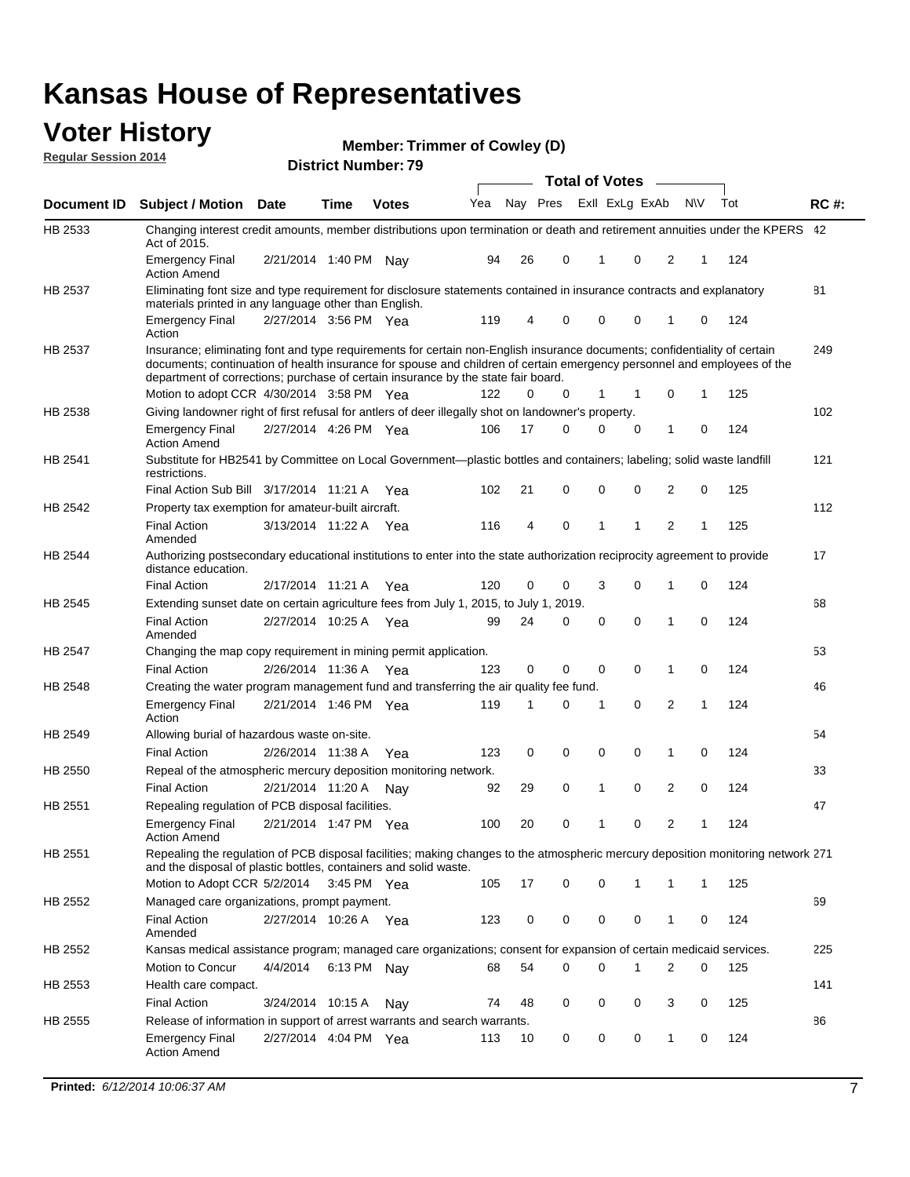#### **Voter History Regular Session 2014**

**Member: Trimmer of Cowley (D)** 

|                    |                                                                                                                                                                                                                                                                                                                                           |                       |             | <b>DISTRICT MAILINGLETS</b> |     |    |             | <b>Total of Votes</b> |                |                |     |     |             |
|--------------------|-------------------------------------------------------------------------------------------------------------------------------------------------------------------------------------------------------------------------------------------------------------------------------------------------------------------------------------------|-----------------------|-------------|-----------------------------|-----|----|-------------|-----------------------|----------------|----------------|-----|-----|-------------|
| <b>Document ID</b> | <b>Subject / Motion</b>                                                                                                                                                                                                                                                                                                                   | <b>Date</b>           | Time        | <b>Votes</b>                | Yea |    | Nay Pres    |                       | Exll ExLg ExAb |                | N\V | Tot | <b>RC#:</b> |
| HB 2533            | Changing interest credit amounts, member distributions upon termination or death and retirement annuities under the KPERS 42<br>Act of 2015.                                                                                                                                                                                              |                       |             |                             |     |    |             |                       |                |                |     |     |             |
|                    | <b>Emergency Final</b><br><b>Action Amend</b>                                                                                                                                                                                                                                                                                             | 2/21/2014 1:40 PM     |             | Nav                         | 94  | 26 | 0           | 1                     | 0              | 2              | 1   | 124 |             |
| HB 2537            | Eliminating font size and type requirement for disclosure statements contained in insurance contracts and explanatory<br>materials printed in any language other than English.                                                                                                                                                            |                       |             |                             |     |    |             |                       |                |                |     |     | 81          |
|                    | <b>Emergency Final</b><br>Action                                                                                                                                                                                                                                                                                                          | 2/27/2014 3:56 PM Yea |             |                             | 119 | 4  | 0           | $\mathbf 0$           | $\mathbf 0$    | 1              | 0   | 124 |             |
| HB 2537            | Insurance; eliminating font and type requirements for certain non-English insurance documents; confidentiality of certain<br>documents; continuation of health insurance for spouse and children of certain emergency personnel and employees of the<br>department of corrections; purchase of certain insurance by the state fair board. |                       |             |                             |     |    |             |                       |                |                |     |     | 249         |
|                    | Motion to adopt CCR 4/30/2014 3:58 PM Yea                                                                                                                                                                                                                                                                                                 |                       |             |                             | 122 | 0  | 0           | 1                     | 1              | 0              | 1   | 125 |             |
| HB 2538            | Giving landowner right of first refusal for antlers of deer illegally shot on landowner's property.                                                                                                                                                                                                                                       |                       |             |                             |     |    |             |                       |                |                |     |     | 102         |
|                    | <b>Emergency Final</b><br><b>Action Amend</b>                                                                                                                                                                                                                                                                                             | 2/27/2014 4:26 PM Yea |             |                             | 106 | 17 | 0           | $\mathbf 0$           | 0              | 1              | 0   | 124 |             |
| HB 2541            | Substitute for HB2541 by Committee on Local Government—plastic bottles and containers; labeling; solid waste landfill<br>restrictions.                                                                                                                                                                                                    |                       |             |                             |     |    |             |                       |                |                |     |     | 121         |
|                    | Final Action Sub Bill 3/17/2014 11:21 A Yea                                                                                                                                                                                                                                                                                               |                       |             |                             | 102 | 21 | 0           | $\mathbf 0$           | 0              | 2              | 0   | 125 |             |
| <b>HB 2542</b>     | Property tax exemption for amateur-built aircraft.                                                                                                                                                                                                                                                                                        |                       |             |                             |     |    |             |                       |                |                |     |     | 112         |
|                    | <b>Final Action</b><br>Amended                                                                                                                                                                                                                                                                                                            | 3/13/2014 11:22 A Yea |             |                             | 116 | 4  | $\mathbf 0$ | $\mathbf{1}$          | 1              | $\overline{2}$ | 1   | 125 |             |
| <b>HB 2544</b>     | Authorizing postsecondary educational institutions to enter into the state authorization reciprocity agreement to provide<br>distance education.                                                                                                                                                                                          |                       |             |                             |     |    |             |                       |                |                |     |     | 17          |
|                    | <b>Final Action</b>                                                                                                                                                                                                                                                                                                                       | 2/17/2014 11:21 A Yea |             |                             | 120 | 0  | 0           | 3                     | $\Omega$       | 1              | 0   | 124 |             |
| HB 2545            | Extending sunset date on certain agriculture fees from July 1, 2015, to July 1, 2019.                                                                                                                                                                                                                                                     |                       |             |                             |     |    |             |                       |                |                |     |     | 68          |
|                    | <b>Final Action</b><br>Amended                                                                                                                                                                                                                                                                                                            | 2/27/2014 10:25 A Yea |             |                             | 99  | 24 | 0           | $\mathbf 0$           | $\Omega$       | 1              | 0   | 124 |             |
| HB 2547            | Changing the map copy requirement in mining permit application.                                                                                                                                                                                                                                                                           |                       |             |                             |     |    |             |                       |                |                |     |     | 53          |
|                    | <b>Final Action</b>                                                                                                                                                                                                                                                                                                                       | 2/26/2014 11:36 A     |             | Yea                         | 123 | 0  | 0           | 0                     | 0              | 1              | 0   | 124 |             |
| HB 2548            | Creating the water program management fund and transferring the air quality fee fund.                                                                                                                                                                                                                                                     |                       |             |                             |     |    |             |                       |                |                |     |     | 46          |
|                    | <b>Emergency Final</b><br>Action                                                                                                                                                                                                                                                                                                          | 2/21/2014 1:46 PM Yea |             |                             | 119 | 1  | 0           | 1                     | $\mathbf 0$    | 2              | 1   | 124 |             |
| HB 2549            | Allowing burial of hazardous waste on-site.                                                                                                                                                                                                                                                                                               |                       |             |                             |     |    |             |                       |                |                |     |     | 54          |
|                    | <b>Final Action</b>                                                                                                                                                                                                                                                                                                                       | 2/26/2014 11:38 A     |             | Yea                         | 123 | 0  | 0           | $\mathbf 0$           | $\mathbf 0$    | 1              | 0   | 124 |             |
| HB 2550            | Repeal of the atmospheric mercury deposition monitoring network.                                                                                                                                                                                                                                                                          |                       |             |                             |     |    |             |                       |                |                |     |     | 33          |
|                    | <b>Final Action</b>                                                                                                                                                                                                                                                                                                                       | 2/21/2014 11:20 A     |             | Nav                         | 92  | 29 | 0           | 1                     | $\mathbf 0$    | 2              | 0   | 124 |             |
| HB 2551            | Repealing regulation of PCB disposal facilities.                                                                                                                                                                                                                                                                                          |                       |             |                             |     |    |             |                       |                |                |     |     | 47          |
|                    | <b>Emergency Final</b><br><b>Action Amend</b>                                                                                                                                                                                                                                                                                             | 2/21/2014 1:47 PM Yea |             |                             | 100 | 20 | 0           | 1                     | 0              | 2              | 1   | 124 |             |
| HB 2551            | Repealing the regulation of PCB disposal facilities; making changes to the atmospheric mercury deposition monitoring network 271<br>and the disposal of plastic bottles, containers and solid waste.                                                                                                                                      |                       |             |                             |     |    |             |                       |                |                |     |     |             |
|                    | Motion to Adopt CCR 5/2/2014                                                                                                                                                                                                                                                                                                              |                       | 3:45 PM Yea |                             | 105 | 17 | 0           | $\mathbf 0$           | 1              | 1              | 1   | 125 |             |
| HB 2552            | Managed care organizations, prompt payment.                                                                                                                                                                                                                                                                                               |                       |             |                             |     |    |             |                       |                |                |     |     | 69          |
|                    | <b>Final Action</b><br>Amended                                                                                                                                                                                                                                                                                                            | 2/27/2014 10:26 A Yea |             |                             | 123 | 0  | 0           | 0                     | 0              | 1              | 0   | 124 |             |
| HB 2552            | Kansas medical assistance program; managed care organizations; consent for expansion of certain medicaid services.                                                                                                                                                                                                                        |                       |             |                             |     |    |             |                       |                |                |     |     | 225         |
|                    | Motion to Concur                                                                                                                                                                                                                                                                                                                          | 4/4/2014              | 6:13 PM Nay |                             | 68  | 54 | 0           | $\mathbf 0$           | 1              | 2              | 0   | 125 |             |
| HB 2553            | Health care compact.                                                                                                                                                                                                                                                                                                                      |                       |             |                             |     |    |             |                       |                |                |     |     | 141         |
|                    | <b>Final Action</b>                                                                                                                                                                                                                                                                                                                       | 3/24/2014 10:15 A     |             | Nay                         | 74  | 48 | 0           | 0                     | 0              | 3              | 0   | 125 |             |
| HB 2555            | Release of information in support of arrest warrants and search warrants.                                                                                                                                                                                                                                                                 |                       |             |                             |     |    |             |                       |                |                |     |     | 86          |
|                    | <b>Emergency Final</b><br><b>Action Amend</b>                                                                                                                                                                                                                                                                                             | 2/27/2014 4:04 PM Yea |             |                             | 113 | 10 | 0           | 0                     | 0              | $\mathbf{1}$   | 0   | 124 |             |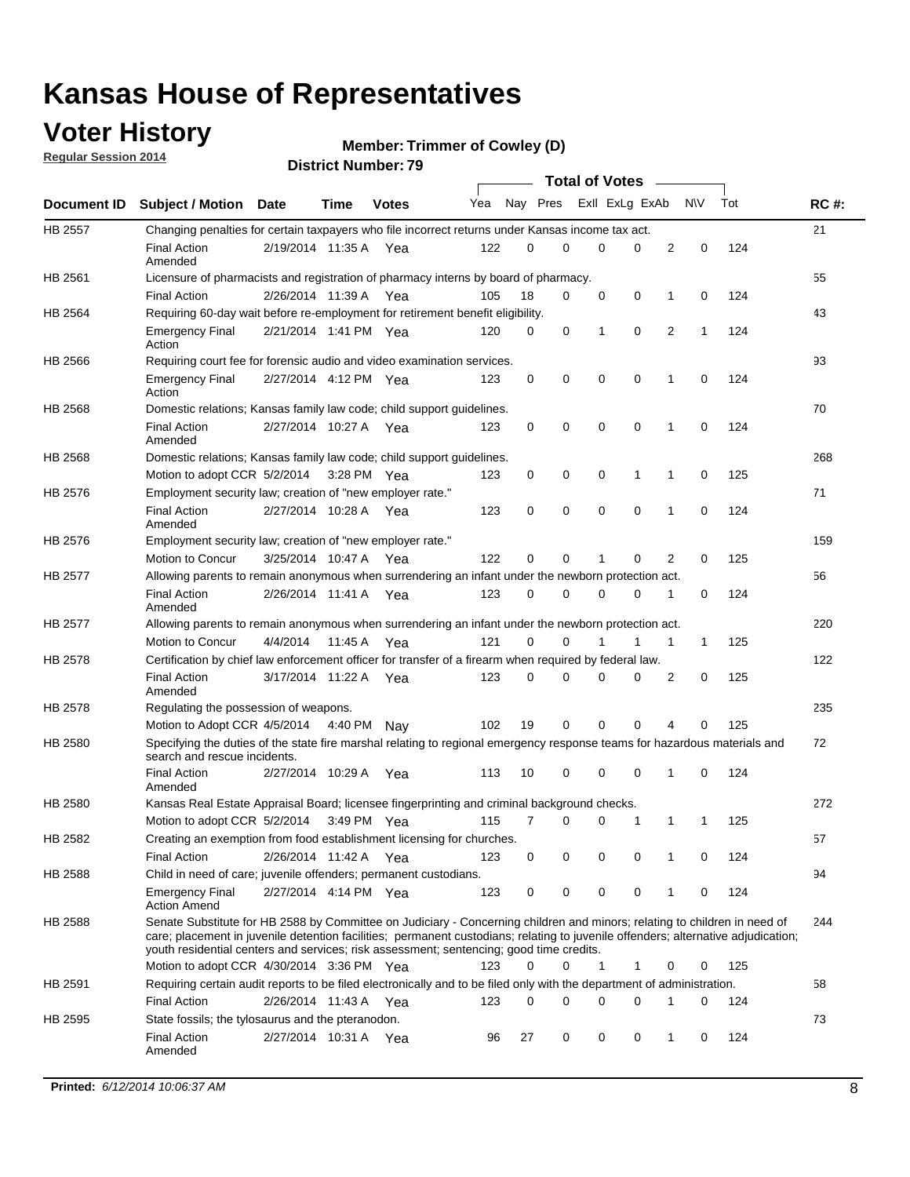### **Voter History**

**Regular Session 2014**

```
Member: Trimmer of Cowley (D)
```

|                |                                                                                                                                                                                                                                                                                                                                                           |                       |             | <b>DISTRICT MAILINGLY</b> |     |          |             |              | <b>Total of Votes</b> |              |              |     |             |
|----------------|-----------------------------------------------------------------------------------------------------------------------------------------------------------------------------------------------------------------------------------------------------------------------------------------------------------------------------------------------------------|-----------------------|-------------|---------------------------|-----|----------|-------------|--------------|-----------------------|--------------|--------------|-----|-------------|
|                | Document ID Subject / Motion Date                                                                                                                                                                                                                                                                                                                         |                       | <b>Time</b> | <b>Votes</b>              | Yea |          | Nay Pres    |              | Exll ExLg ExAb        |              | <b>NV</b>    | Tot | <b>RC#:</b> |
| <b>HB 2557</b> | Changing penalties for certain taxpayers who file incorrect returns under Kansas income tax act.                                                                                                                                                                                                                                                          |                       |             |                           |     |          |             |              |                       |              |              |     | 21          |
|                | <b>Final Action</b><br>Amended                                                                                                                                                                                                                                                                                                                            | 2/19/2014 11:35 A Yea |             |                           | 122 | 0        | 0           | $\Omega$     | $\Omega$              | 2            | $\mathbf 0$  | 124 |             |
| HB 2561        | Licensure of pharmacists and registration of pharmacy interns by board of pharmacy.                                                                                                                                                                                                                                                                       |                       |             |                           |     |          |             |              |                       |              |              |     | 55          |
|                | <b>Final Action</b>                                                                                                                                                                                                                                                                                                                                       | 2/26/2014 11:39 A     |             | Yea                       | 105 | 18       | 0           | 0            | 0                     | 1            | 0            | 124 |             |
| HB 2564        | Requiring 60-day wait before re-employment for retirement benefit eligibility.                                                                                                                                                                                                                                                                            |                       |             |                           |     |          |             |              |                       |              |              |     | 43          |
|                | <b>Emergency Final</b><br>Action                                                                                                                                                                                                                                                                                                                          | 2/21/2014 1:41 PM Yea |             |                           | 120 | 0        | 0           | $\mathbf{1}$ | 0                     | 2            | $\mathbf{1}$ | 124 |             |
| HB 2566        | Requiring court fee for forensic audio and video examination services.                                                                                                                                                                                                                                                                                    |                       |             |                           |     |          |             |              |                       |              |              |     | 93          |
|                | <b>Emergency Final</b><br>Action                                                                                                                                                                                                                                                                                                                          | 2/27/2014 4:12 PM Yea |             |                           | 123 | 0        | 0           | $\mathbf 0$  | $\mathbf 0$           | 1            | 0            | 124 |             |
| HB 2568        | Domestic relations; Kansas family law code; child support guidelines.                                                                                                                                                                                                                                                                                     |                       |             |                           |     |          |             |              |                       |              |              |     | 70          |
|                | <b>Final Action</b><br>Amended                                                                                                                                                                                                                                                                                                                            | 2/27/2014 10:27 A Yea |             |                           | 123 | 0        | 0           | 0            | $\mathbf 0$           | 1            | 0            | 124 |             |
| HB 2568        | Domestic relations; Kansas family law code; child support guidelines.                                                                                                                                                                                                                                                                                     |                       |             |                           |     |          |             |              |                       |              |              |     | 268         |
|                | Motion to adopt CCR 5/2/2014                                                                                                                                                                                                                                                                                                                              |                       | 3:28 PM Yea |                           | 123 | 0        | 0           | 0            | 1                     | 1            | 0            | 125 |             |
| HB 2576        | Employment security law; creation of "new employer rate."                                                                                                                                                                                                                                                                                                 |                       |             |                           |     |          |             |              |                       |              |              |     | 71          |
|                | <b>Final Action</b><br>Amended                                                                                                                                                                                                                                                                                                                            | 2/27/2014 10:28 A Yea |             |                           | 123 | 0        | $\mathbf 0$ | $\mathbf 0$  | $\mathbf 0$           | 1            | $\mathbf 0$  | 124 |             |
| HB 2576        | Employment security law; creation of "new employer rate."                                                                                                                                                                                                                                                                                                 |                       |             |                           |     |          |             |              |                       |              |              |     | 159         |
|                | <b>Motion to Concur</b>                                                                                                                                                                                                                                                                                                                                   | 3/25/2014 10:47 A     |             | Yea                       | 122 | $\Omega$ | 0           | 1            | $\Omega$              | 2            | 0            | 125 |             |
| <b>HB 2577</b> | Allowing parents to remain anonymous when surrendering an infant under the newborn protection act.                                                                                                                                                                                                                                                        |                       |             |                           |     |          |             |              |                       |              |              |     | 56          |
|                | <b>Final Action</b><br>Amended                                                                                                                                                                                                                                                                                                                            | 2/26/2014 11:41 A     |             | Yea                       | 123 | 0        | 0           | $\mathbf 0$  | 0                     | 1            | 0            | 124 |             |
| HB 2577        | Allowing parents to remain anonymous when surrendering an infant under the newborn protection act.                                                                                                                                                                                                                                                        |                       |             |                           |     |          |             |              |                       |              |              |     | 220         |
|                | <b>Motion to Concur</b>                                                                                                                                                                                                                                                                                                                                   | 4/4/2014              | 11:45 A     | Yea                       | 121 | 0        | 0           |              | 1                     | $\mathbf{1}$ | $\mathbf{1}$ | 125 |             |
| HB 2578        | Certification by chief law enforcement officer for transfer of a firearm when required by federal law.                                                                                                                                                                                                                                                    |                       |             |                           |     |          |             |              |                       |              |              |     | 122         |
|                | <b>Final Action</b><br>Amended                                                                                                                                                                                                                                                                                                                            | 3/17/2014 11:22 A Yea |             |                           | 123 | 0        | 0           | 0            | 0                     | 2            | 0            | 125 |             |
| HB 2578        | Regulating the possession of weapons.                                                                                                                                                                                                                                                                                                                     |                       |             |                           |     |          |             |              |                       |              |              |     | 235         |
|                | Motion to Adopt CCR 4/5/2014 4:40 PM Nay                                                                                                                                                                                                                                                                                                                  |                       |             |                           | 102 | 19       | $\mathbf 0$ | $\mathbf 0$  | $\mathbf 0$           | 4            | 0            | 125 |             |
| <b>HB 2580</b> | Specifying the duties of the state fire marshal relating to regional emergency response teams for hazardous materials and<br>search and rescue incidents.                                                                                                                                                                                                 |                       |             |                           |     |          |             |              |                       |              |              |     | 72          |
|                | <b>Final Action</b><br>Amended                                                                                                                                                                                                                                                                                                                            | 2/27/2014 10:29 A     |             | Yea                       | 113 | 10       | 0           | $\mathbf 0$  | $\mathbf 0$           | 1            | 0            | 124 |             |
| HB 2580        | Kansas Real Estate Appraisal Board; licensee fingerprinting and criminal background checks.                                                                                                                                                                                                                                                               |                       |             |                           |     |          |             |              |                       |              |              |     | 272         |
|                | Motion to adopt CCR 5/2/2014                                                                                                                                                                                                                                                                                                                              |                       |             | 3:49 PM Yea               | 115 | 7        | 0           | 0            | 1                     | 1            | -1           | 125 |             |
| HB 2582        | Creating an exemption from food establishment licensing for churches.                                                                                                                                                                                                                                                                                     |                       |             |                           |     |          |             |              |                       |              |              |     | 57          |
|                | <b>Final Action</b>                                                                                                                                                                                                                                                                                                                                       | 2/26/2014 11:42 A     |             | Yea                       | 123 | 0        | 0           | 0            | 0                     | 1            | 0            | 124 |             |
| HB 2588        | Child in need of care; juvenile offenders; permanent custodians.                                                                                                                                                                                                                                                                                          |                       |             |                           |     |          |             |              |                       |              |              |     | 94          |
|                | <b>Emergency Final</b><br><b>Action Amend</b>                                                                                                                                                                                                                                                                                                             | 2/27/2014 4:14 PM Yea |             |                           | 123 | 0        | 0           | 0            | 0                     | 1            | 0            | 124 |             |
| HB 2588        | Senate Substitute for HB 2588 by Committee on Judiciary - Concerning children and minors; relating to children in need of<br>care; placement in juvenile detention facilities; permanent custodians; relating to juvenile offenders; alternative adjudication;<br>youth residential centers and services; risk assessment; sentencing; good time credits. |                       |             |                           |     |          |             |              |                       |              |              |     | 244         |
|                | Motion to adopt CCR 4/30/2014 3:36 PM Yea                                                                                                                                                                                                                                                                                                                 |                       |             |                           | 123 | $\Omega$ | 0           | $\mathbf{1}$ | 1                     | 0            | 0            | 125 |             |
| HB 2591        | Requiring certain audit reports to be filed electronically and to be filed only with the department of administration.                                                                                                                                                                                                                                    |                       |             |                           |     |          |             |              |                       |              |              |     | 58          |
|                | <b>Final Action</b>                                                                                                                                                                                                                                                                                                                                       | 2/26/2014 11:43 A Yea |             |                           | 123 | 0        | 0           | 0            | $\mathbf 0$           | 1            | 0            | 124 |             |
| HB 2595        | State fossils; the tylosaurus and the pteranodon.                                                                                                                                                                                                                                                                                                         |                       |             |                           |     |          |             |              |                       |              |              |     | 73          |
|                | <b>Final Action</b><br>Amended                                                                                                                                                                                                                                                                                                                            | 2/27/2014 10:31 A Yea |             |                           | 96  | 27       | 0           | 0            | 0                     | 1            | 0            | 124 |             |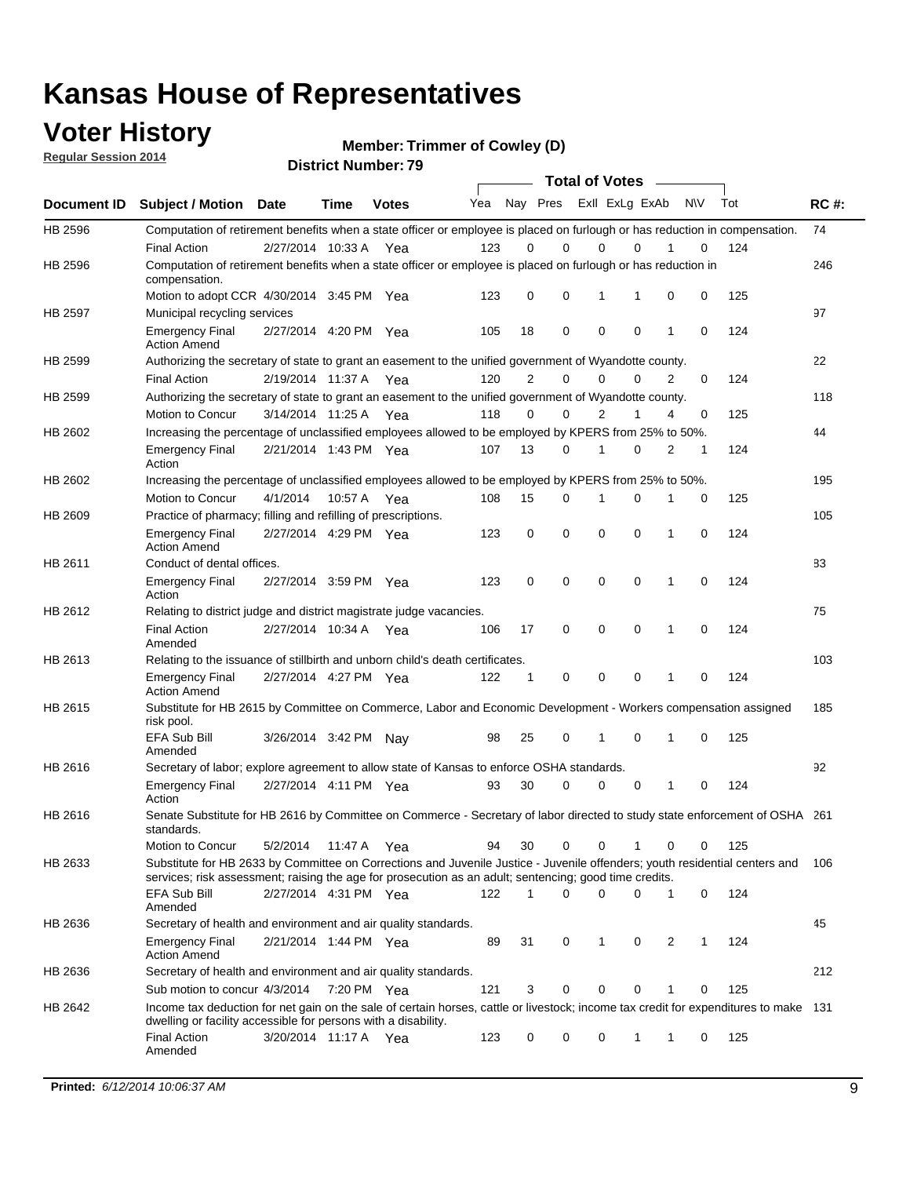### **Voter History**

**Regular Session 2014**

**Member: Trimmer of Cowley (D)** 

|                |                                                                                                                                                                                                                                       | <b>DISTRICT MAILINGLE 19</b><br><b>Total of Votes</b> |             |              |     |                |             |             |                |   |           |     |             |
|----------------|---------------------------------------------------------------------------------------------------------------------------------------------------------------------------------------------------------------------------------------|-------------------------------------------------------|-------------|--------------|-----|----------------|-------------|-------------|----------------|---|-----------|-----|-------------|
| Document ID    | <b>Subject / Motion</b>                                                                                                                                                                                                               | <b>Date</b>                                           | Time        | <b>Votes</b> | Yea |                | Nay Pres    |             | Exll ExLg ExAb |   | <b>NV</b> | Tot | <b>RC#:</b> |
| HB 2596        | Computation of retirement benefits when a state officer or employee is placed on furlough or has reduction in compensation.                                                                                                           |                                                       |             |              |     |                |             |             |                |   |           |     | 74          |
|                | <b>Final Action</b>                                                                                                                                                                                                                   | 2/27/2014 10:33 A                                     |             | Yea          | 123 | 0              | $\Omega$    | 0           | $\Omega$       |   | 0         | 124 |             |
| HB 2596        | Computation of retirement benefits when a state officer or employee is placed on furlough or has reduction in<br>compensation.                                                                                                        |                                                       |             |              |     |                |             |             |                |   |           |     | 246         |
|                | Motion to adopt CCR 4/30/2014 3:45 PM Yea                                                                                                                                                                                             |                                                       |             |              | 123 | 0              | 0           | 1           | 1              | 0 | 0         | 125 |             |
| <b>HB 2597</b> | Municipal recycling services                                                                                                                                                                                                          |                                                       |             |              |     |                |             |             |                |   |           |     | 97          |
|                | <b>Emergency Final</b><br><b>Action Amend</b>                                                                                                                                                                                         | 2/27/2014 4:20 PM Yea                                 |             |              | 105 | 18             | $\mathbf 0$ | $\mathbf 0$ | $\mathbf 0$    | 1 | 0         | 124 |             |
| HB 2599        | Authorizing the secretary of state to grant an easement to the unified government of Wyandotte county.                                                                                                                                |                                                       |             |              |     |                |             |             |                |   |           |     | 22          |
|                | <b>Final Action</b>                                                                                                                                                                                                                   | 2/19/2014 11:37 A                                     |             | Yea          | 120 | $\overline{2}$ | $\mathbf 0$ | 0           | $\Omega$       | 2 | 0         | 124 |             |
| HB 2599        | Authorizing the secretary of state to grant an easement to the unified government of Wyandotte county.                                                                                                                                |                                                       |             |              |     |                |             |             |                |   |           |     | 118         |
|                | Motion to Concur                                                                                                                                                                                                                      | 3/14/2014 11:25 A                                     |             | Yea          | 118 | $\Omega$       | 0           | 2           | 1              | 4 | 0         | 125 |             |
| HB 2602        | Increasing the percentage of unclassified employees allowed to be employed by KPERS from 25% to 50%.                                                                                                                                  |                                                       |             |              |     |                |             |             |                |   |           |     | 44          |
|                | <b>Emergency Final</b><br>Action                                                                                                                                                                                                      | 2/21/2014 1:43 PM Yea                                 |             |              | 107 | 13             | 0           | 1           | $\Omega$       | 2 | 1         | 124 |             |
| HB 2602        | Increasing the percentage of unclassified employees allowed to be employed by KPERS from 25% to 50%.                                                                                                                                  |                                                       |             |              |     |                |             |             |                |   |           |     | 195         |
|                | Motion to Concur                                                                                                                                                                                                                      | 4/1/2014                                              | 10:57 A Yea |              | 108 | 15             | 0           | 1           | 0              | 1 | 0         | 125 |             |
| HB 2609        | Practice of pharmacy; filling and refilling of prescriptions.                                                                                                                                                                         |                                                       |             |              |     |                |             |             |                |   |           |     | 105         |
|                | <b>Emergency Final</b><br><b>Action Amend</b>                                                                                                                                                                                         | 2/27/2014 4:29 PM Yea                                 |             |              | 123 | 0              | $\mathbf 0$ | $\mathbf 0$ | $\Omega$       | 1 | 0         | 124 |             |
| HB 2611        | Conduct of dental offices.                                                                                                                                                                                                            |                                                       |             |              |     |                |             |             |                |   |           |     | 83          |
|                | <b>Emergency Final</b><br>Action                                                                                                                                                                                                      | 2/27/2014 3:59 PM Yea                                 |             |              | 123 | 0              | $\mathbf 0$ | $\mathbf 0$ | $\mathbf 0$    | 1 | 0         | 124 |             |
| HB 2612        | Relating to district judge and district magistrate judge vacancies.                                                                                                                                                                   |                                                       |             |              |     |                |             |             |                |   |           |     | 75          |
|                | <b>Final Action</b><br>Amended                                                                                                                                                                                                        | 2/27/2014 10:34 A                                     |             | Yea          | 106 | 17             | 0           | $\mathbf 0$ | $\mathbf 0$    | 1 | 0         | 124 |             |
| HB 2613        | Relating to the issuance of stillbirth and unborn child's death certificates.                                                                                                                                                         |                                                       |             |              |     |                |             |             |                |   |           |     | 103         |
|                | <b>Emergency Final</b><br><b>Action Amend</b>                                                                                                                                                                                         | 2/27/2014 4:27 PM Yea                                 |             |              | 122 | 1              | 0           | $\mathbf 0$ | $\Omega$       | 1 | 0         | 124 |             |
| HB 2615        | Substitute for HB 2615 by Committee on Commerce, Labor and Economic Development - Workers compensation assigned<br>risk pool.                                                                                                         |                                                       |             |              |     |                |             |             |                |   |           |     | 185         |
|                | EFA Sub Bill<br>Amended                                                                                                                                                                                                               | 3/26/2014 3:42 PM Nay                                 |             |              | 98  | 25             | 0           | 1           | $\mathbf 0$    | 1 | 0         | 125 |             |
| HB 2616        | Secretary of labor; explore agreement to allow state of Kansas to enforce OSHA standards.                                                                                                                                             |                                                       |             |              |     |                |             |             |                |   |           |     | 92          |
|                | <b>Emergency Final</b><br>Action                                                                                                                                                                                                      | 2/27/2014 4:11 PM Yea                                 |             |              | 93  | 30             | 0           | 0           | 0              | 1 | 0         | 124 |             |
| HB 2616        | Senate Substitute for HB 2616 by Committee on Commerce - Secretary of labor directed to study state enforcement of OSHA 261<br>standards.                                                                                             |                                                       |             |              |     |                |             |             |                |   |           |     |             |
|                | Motion to Concur                                                                                                                                                                                                                      | 5/2/2014                                              | 11:47 A Yea |              | 94  | 30             | 0           | 0           | 1              | 0 | 0         | 125 |             |
| HB 2633        | Substitute for HB 2633 by Committee on Corrections and Juvenile Justice - Juvenile offenders; youth residential centers and<br>services; risk assessment; raising the age for prosecution as an adult; sentencing; good time credits. |                                                       |             |              |     |                |             |             |                |   |           |     | 106         |
|                | EFA Sub Bill<br>Amended                                                                                                                                                                                                               | 2/27/2014 4:31 PM Yea                                 |             |              | 122 | 1              | 0           | $\mathbf 0$ | 0              | 1 | 0         | 124 |             |
| HB 2636        | Secretary of health and environment and air quality standards.                                                                                                                                                                        |                                                       |             |              |     |                |             |             |                |   |           |     | 45          |
|                | <b>Emergency Final</b><br><b>Action Amend</b>                                                                                                                                                                                         | 2/21/2014 1:44 PM Yea                                 |             |              | 89  | 31             | 0           | 1           | 0              | 2 | 1         | 124 |             |
| HB 2636        | Secretary of health and environment and air quality standards.                                                                                                                                                                        |                                                       |             |              |     |                |             |             |                |   |           |     | 212         |
|                | Sub motion to concur 4/3/2014                                                                                                                                                                                                         |                                                       | 7:20 PM Yea |              | 121 | 3              | 0           | 0           | 0              |   | 0         | 125 |             |
| HB 2642        | Income tax deduction for net gain on the sale of certain horses, cattle or livestock; income tax credit for expenditures to make 131<br>dwelling or facility accessible for persons with a disability.                                |                                                       |             |              |     |                |             |             |                |   |           |     |             |
|                | <b>Final Action</b><br>Amended                                                                                                                                                                                                        | 3/20/2014 11:17 A Yea                                 |             |              | 123 | 0              | 0           | 0           | 1              | 1 | 0         | 125 |             |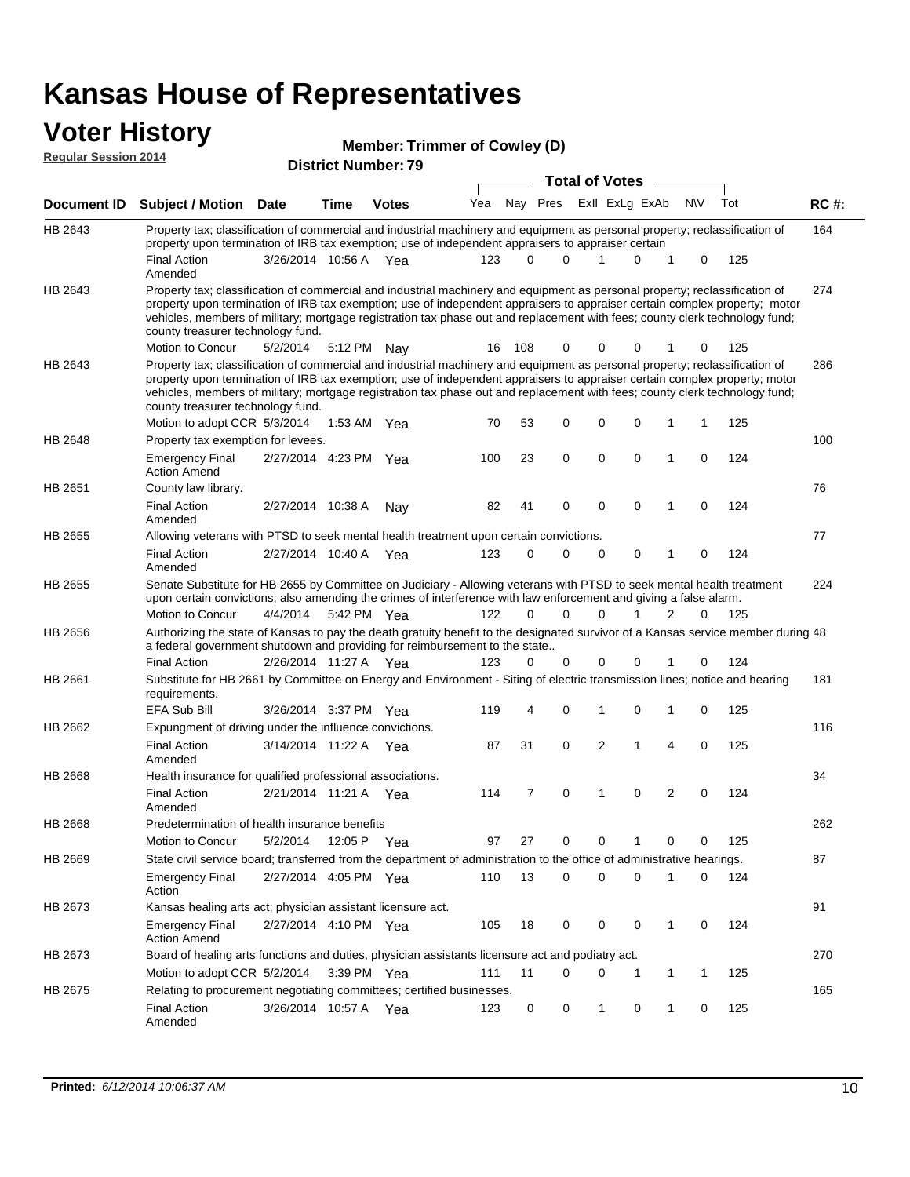#### **Voter History**

| <b>Regular Session 2014</b> |                                                                                                                                                                                                                                                                                                                                                                                                                                                               |                                                     |             | <b>Member: Trimmer of Cowley (D)</b> |     |          |          |                |   |                |             |     |       |  |  |
|-----------------------------|---------------------------------------------------------------------------------------------------------------------------------------------------------------------------------------------------------------------------------------------------------------------------------------------------------------------------------------------------------------------------------------------------------------------------------------------------------------|-----------------------------------------------------|-------------|--------------------------------------|-----|----------|----------|----------------|---|----------------|-------------|-----|-------|--|--|
|                             |                                                                                                                                                                                                                                                                                                                                                                                                                                                               | <b>District Number: 79</b><br><b>Total of Votes</b> |             |                                      |     |          |          |                |   |                |             |     |       |  |  |
|                             |                                                                                                                                                                                                                                                                                                                                                                                                                                                               |                                                     |             |                                      |     |          |          |                |   |                |             |     |       |  |  |
| Document ID                 | <b>Subject / Motion Date</b>                                                                                                                                                                                                                                                                                                                                                                                                                                  |                                                     | Time        | <b>Votes</b>                         | Yea | Nay Pres |          | Exll ExLg ExAb |   |                | <b>NV</b>   | Tot | RC #: |  |  |
| HB 2643                     | Property tax; classification of commercial and industrial machinery and equipment as personal property; reclassification of<br>property upon termination of IRB tax exemption; use of independent appraisers to appraiser certain                                                                                                                                                                                                                             |                                                     |             |                                      |     |          |          |                |   |                |             |     | 164   |  |  |
|                             | <b>Final Action</b><br>Amended                                                                                                                                                                                                                                                                                                                                                                                                                                | 3/26/2014 10:56 A Yea                               |             |                                      | 123 | $\Omega$ | $\Omega$ | 1              | 0 | 1              | 0           | 125 |       |  |  |
| HB 2643                     | Property tax; classification of commercial and industrial machinery and equipment as personal property; reclassification of<br>property upon termination of IRB tax exemption; use of independent appraisers to appraiser certain complex property; motor<br>vehicles, members of military; mortgage registration tax phase out and replacement with fees; county clerk technology fund;<br>county treasurer technology fund.                                 |                                                     |             |                                      |     |          |          |                |   |                |             |     | 274   |  |  |
|                             | Motion to Concur                                                                                                                                                                                                                                                                                                                                                                                                                                              | 5/2/2014                                            |             | 5:12 PM Nay                          | 16  | 108      | 0        | 0              |   |                |             | 125 |       |  |  |
| HB 2643                     | Property tax; classification of commercial and industrial machinery and equipment as personal property; reclassification of<br>property upon termination of IRB tax exemption; use of independent appraisers to appraiser certain complex property; motor<br>vehicles, members of military; mortgage registration tax phase out and replacement with fees; county clerk technology fund;<br>county treasurer technology fund.<br>Motion to adopt CCR 5/3/2014 |                                                     |             |                                      |     |          | 0        | 0              | 0 | 1              | 1           |     | 286   |  |  |
| HB 2648                     | Property tax exemption for levees.                                                                                                                                                                                                                                                                                                                                                                                                                            |                                                     | 1:53 AM Yea |                                      | 70  | 53       |          |                |   |                |             | 125 | 100   |  |  |
|                             | <b>Emergency Final</b><br><b>Action Amend</b>                                                                                                                                                                                                                                                                                                                                                                                                                 | 2/27/2014 4:23 PM Yea                               |             |                                      | 100 | 23       | 0        | 0              | 0 | 1              | 0           | 124 |       |  |  |
| HB 2651                     | County law library.                                                                                                                                                                                                                                                                                                                                                                                                                                           |                                                     |             |                                      |     |          |          |                |   |                |             |     | 76    |  |  |
|                             | <b>Final Action</b><br>Amended                                                                                                                                                                                                                                                                                                                                                                                                                                | 2/27/2014 10:38 A                                   |             | Nav                                  | 82  | 41       | 0        | 0              | 0 | 1              | $\mathbf 0$ | 124 |       |  |  |
| HB 2655                     | Allowing veterans with PTSD to seek mental health treatment upon certain convictions.                                                                                                                                                                                                                                                                                                                                                                         |                                                     |             |                                      |     |          |          |                |   |                |             |     | 77    |  |  |
|                             | <b>Final Action</b><br>Amended                                                                                                                                                                                                                                                                                                                                                                                                                                | 2/27/2014 10:40 A                                   |             | Yea                                  | 123 | 0        | 0        | 0              | 0 | 1              | 0           | 124 |       |  |  |
| HB 2655                     | Senate Substitute for HB 2655 by Committee on Judiciary - Allowing veterans with PTSD to seek mental health treatment<br>upon certain convictions; also amending the crimes of interference with law enforcement and giving a false alarm.                                                                                                                                                                                                                    |                                                     |             |                                      |     |          |          |                |   |                |             |     | 224   |  |  |
|                             | Motion to Concur                                                                                                                                                                                                                                                                                                                                                                                                                                              | 4/4/2014                                            |             | 5:42 PM Yea                          | 122 | 0        | $\Omega$ | 0              |   | 2              | 0           | 125 |       |  |  |
| HB 2656                     | Authorizing the state of Kansas to pay the death gratuity benefit to the designated survivor of a Kansas service member during 48<br>a federal government shutdown and providing for reimbursement to the state                                                                                                                                                                                                                                               |                                                     |             |                                      |     |          |          |                |   |                |             |     |       |  |  |
|                             | <b>Final Action</b>                                                                                                                                                                                                                                                                                                                                                                                                                                           | 2/26/2014 11:27 A Yea                               |             |                                      | 123 | 0        | 0        | 0              | 0 |                | 0           | 124 |       |  |  |
| HB 2661                     | Substitute for HB 2661 by Committee on Energy and Environment - Siting of electric transmission lines; notice and hearing<br>requirements.                                                                                                                                                                                                                                                                                                                    |                                                     |             |                                      |     |          |          |                |   |                |             |     | 181   |  |  |
|                             | <b>EFA Sub Bill</b>                                                                                                                                                                                                                                                                                                                                                                                                                                           | 3/26/2014 3:37 PM Yea                               |             |                                      | 119 | 4        | 0        | 1              | 0 | 1              | 0           | 125 |       |  |  |
| HB 2662                     | Expungment of driving under the influence convictions.                                                                                                                                                                                                                                                                                                                                                                                                        |                                                     |             |                                      |     |          |          |                |   |                |             |     | 116   |  |  |
|                             | <b>Final Action</b><br>Amended                                                                                                                                                                                                                                                                                                                                                                                                                                | 3/14/2014 11:22 A Yea                               |             |                                      | 87  | 31       | 0        | 2              | 1 | $\overline{4}$ | 0           | 125 |       |  |  |
| HB 2668                     | Health insurance for qualified professional associations.                                                                                                                                                                                                                                                                                                                                                                                                     |                                                     |             |                                      |     |          |          |                |   |                |             |     | 34    |  |  |
|                             | <b>Final Action</b><br>Amended                                                                                                                                                                                                                                                                                                                                                                                                                                | 2/21/2014 11:21 A Yea                               |             |                                      | 114 | 7        | 0        | 1              | 0 | 2              | 0           | 124 |       |  |  |
| HB 2668                     | Predetermination of health insurance benefits                                                                                                                                                                                                                                                                                                                                                                                                                 |                                                     |             |                                      |     |          |          |                |   |                |             |     | 262   |  |  |
|                             | Motion to Concur                                                                                                                                                                                                                                                                                                                                                                                                                                              | 5/2/2014                                            | 12:05 P Yea |                                      | 97  | 27       | 0        | 0              | 1 | 0              | 0           | 125 |       |  |  |
| HB 2669                     | State civil service board; transferred from the department of administration to the office of administrative hearings.                                                                                                                                                                                                                                                                                                                                        |                                                     |             |                                      |     |          |          |                |   |                |             |     | 87    |  |  |
|                             | <b>Emergency Final</b><br>Action                                                                                                                                                                                                                                                                                                                                                                                                                              | 2/27/2014 4:05 PM Yea                               |             |                                      | 110 | 13       | 0        | 0              | 0 | 1              | 0           | 124 |       |  |  |
| HB 2673                     | Kansas healing arts act; physician assistant licensure act.                                                                                                                                                                                                                                                                                                                                                                                                   |                                                     |             |                                      |     |          |          |                |   |                |             |     | 91    |  |  |
|                             | <b>Emergency Final</b><br><b>Action Amend</b>                                                                                                                                                                                                                                                                                                                                                                                                                 | 2/27/2014 4:10 PM Yea                               |             |                                      | 105 | 18       | 0        | 0              | 0 | $\mathbf{1}$   | 0           | 124 |       |  |  |
| HB 2673                     | Board of healing arts functions and duties, physician assistants licensure act and podiatry act.                                                                                                                                                                                                                                                                                                                                                              |                                                     |             |                                      |     |          |          |                |   |                |             |     | 270   |  |  |

165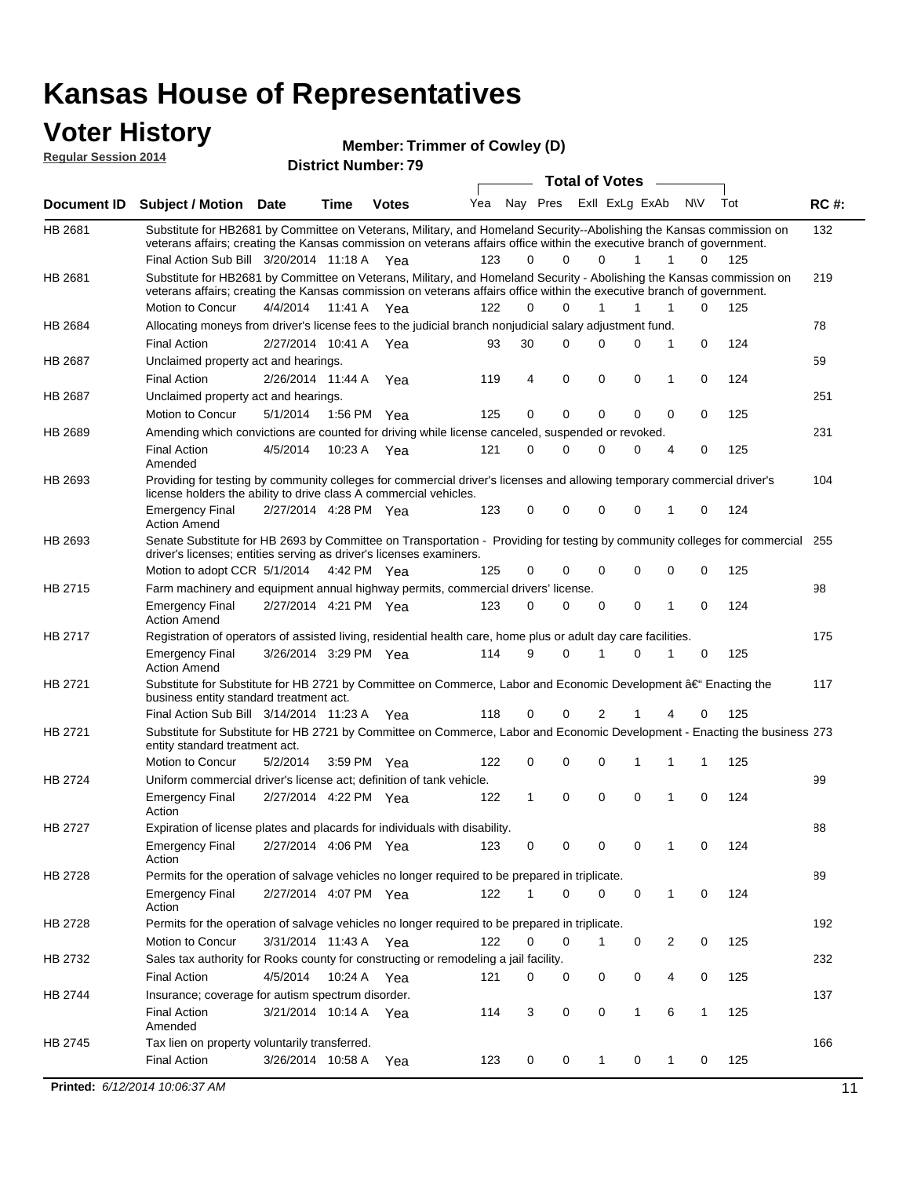#### **Voter History**

**Regular Session 2014**

**Member: Trimmer of Cowley (D)** 

| nuyurur Uuddiun Luin |                                                                                                                                                                                                                                                 |                       |             | <b>District Number: 79</b> |     |          |             |             |                  |                |   |     |             |
|----------------------|-------------------------------------------------------------------------------------------------------------------------------------------------------------------------------------------------------------------------------------------------|-----------------------|-------------|----------------------------|-----|----------|-------------|-------------|------------------|----------------|---|-----|-------------|
|                      |                                                                                                                                                                                                                                                 |                       |             |                            |     |          |             |             | Total of Votes – |                |   |     |             |
| Document ID          | Subject / Motion Date                                                                                                                                                                                                                           |                       | <b>Time</b> | <b>Votes</b>               | Yea |          | Nay Pres    |             | Exll ExLg ExAb   | <b>NV</b>      |   | Tot | <b>RC#:</b> |
| HB 2681              | Substitute for HB2681 by Committee on Veterans, Military, and Homeland Security--Abolishing the Kansas commission on<br>veterans affairs; creating the Kansas commission on veterans affairs office within the executive branch of government.  |                       |             |                            |     |          |             |             |                  |                |   |     | 132         |
|                      | Final Action Sub Bill 3/20/2014 11:18 A Yea                                                                                                                                                                                                     |                       |             |                            | 123 | 0        | 0           | 0           | 1                | 1              | 0 | 125 |             |
| HB 2681              | Substitute for HB2681 by Committee on Veterans, Military, and Homeland Security - Abolishing the Kansas commission on<br>veterans affairs; creating the Kansas commission on veterans affairs office within the executive branch of government. |                       |             |                            |     |          |             |             |                  |                |   |     | 219         |
|                      | Motion to Concur                                                                                                                                                                                                                                | 4/4/2014              | 11:41 A     | Yea                        | 122 | $\Omega$ | $\Omega$    | 1           | 1                | 1              | 0 | 125 |             |
| HB 2684              | Allocating moneys from driver's license fees to the judicial branch nonjudicial salary adjustment fund.                                                                                                                                         |                       |             |                            |     |          |             |             |                  |                |   |     | 78          |
|                      | <b>Final Action</b>                                                                                                                                                                                                                             | 2/27/2014 10:41 A     |             | Yea                        | 93  | 30       | $\Omega$    | $\Omega$    | 0                | 1              | 0 | 124 |             |
| HB 2687              | Unclaimed property act and hearings.                                                                                                                                                                                                            |                       |             |                            |     |          |             |             |                  |                |   |     | 59          |
|                      | <b>Final Action</b>                                                                                                                                                                                                                             | 2/26/2014 11:44 A     |             | Yea                        | 119 | 4        | $\mathbf 0$ | $\mathbf 0$ | 0                | 1              | 0 | 124 |             |
| HB 2687              | Unclaimed property act and hearings.                                                                                                                                                                                                            |                       |             |                            |     |          |             |             |                  |                |   |     | 251         |
|                      | Motion to Concur                                                                                                                                                                                                                                | 5/1/2014              | 1:56 PM     | Yea                        | 125 | 0        | $\mathbf 0$ | $\mathbf 0$ | 0                | 0              | 0 | 125 |             |
| HB 2689              | Amending which convictions are counted for driving while license canceled, suspended or revoked.                                                                                                                                                |                       |             |                            |     |          |             |             |                  |                |   |     | 231         |
|                      | <b>Final Action</b><br>Amended                                                                                                                                                                                                                  | 4/5/2014              | 10:23 A     | Yea                        | 121 | 0        | $\mathbf 0$ | $\Omega$    | 0                | 4              | 0 | 125 |             |
| HB 2693              | Providing for testing by community colleges for commercial driver's licenses and allowing temporary commercial driver's<br>license holders the ability to drive class A commercial vehicles.                                                    |                       |             |                            |     |          |             |             |                  |                |   |     | 104         |
|                      | <b>Emergency Final</b><br><b>Action Amend</b>                                                                                                                                                                                                   | 2/27/2014 4:28 PM Yea |             |                            | 123 | 0        | $\Omega$    | $\mathbf 0$ | 0                | 1              | 0 | 124 |             |
| HB 2693              | Senate Substitute for HB 2693 by Committee on Transportation - Providing for testing by community colleges for commercial 255<br>driver's licenses; entities serving as driver's licenses examiners.                                            |                       |             |                            |     |          |             |             |                  |                |   |     |             |
|                      | Motion to adopt CCR 5/1/2014                                                                                                                                                                                                                    |                       |             | 4:42 PM Yea                | 125 | 0        | $\mathbf 0$ | 0           | $\Omega$         | 0              | 0 | 125 |             |
| HB 2715              | Farm machinery and equipment annual highway permits, commercial drivers' license.                                                                                                                                                               |                       |             |                            |     |          |             |             |                  |                |   |     | 98          |
|                      | <b>Emergency Final</b><br><b>Action Amend</b>                                                                                                                                                                                                   | 2/27/2014 4:21 PM Yea |             |                            | 123 | 0        | $\mathbf 0$ | 0           | 0                | 1              | 0 | 124 |             |
| HB 2717              | Registration of operators of assisted living, residential health care, home plus or adult day care facilities.                                                                                                                                  |                       |             |                            |     |          |             |             |                  |                |   |     | 175         |
|                      | <b>Emergency Final</b><br><b>Action Amend</b>                                                                                                                                                                                                   | 3/26/2014 3:29 PM Yea |             |                            | 114 | 9        | 0           | 1           | 0                | 1              | 0 | 125 |             |
| HB 2721              | Substitute for Substitute for HB 2721 by Committee on Commerce, Labor and Economic Development †Enacting the<br>business entity standard treatment act.                                                                                         |                       |             |                            |     |          |             |             |                  |                |   |     | 117         |
|                      | Final Action Sub Bill 3/14/2014 11:23 A Yea                                                                                                                                                                                                     |                       |             |                            | 118 | 0        | 0           | 2           |                  |                | 0 | 125 |             |
| HB 2721              | Substitute for Substitute for HB 2721 by Committee on Commerce, Labor and Economic Development - Enacting the business 273<br>entity standard treatment act.                                                                                    |                       |             |                            |     |          |             |             |                  |                |   |     |             |
|                      | Motion to Concur                                                                                                                                                                                                                                | 5/2/2014              |             | 3:59 PM Yea                | 122 | 0        | 0           | 0           |                  |                | 1 | 125 |             |
| HB 2724              | Uniform commercial driver's license act; definition of tank vehicle.                                                                                                                                                                            |                       |             |                            |     |          |             |             |                  |                |   |     | 99          |
|                      | <b>Emergency Final</b><br>Action                                                                                                                                                                                                                | 2/27/2014 4:22 PM Yea |             |                            | 122 | 1        | 0           | 0           | $\mathbf 0$      | 1              | 0 | 124 |             |
| HB 2727              | Expiration of license plates and placards for individuals with disability.                                                                                                                                                                      |                       |             |                            |     |          |             |             |                  |                |   |     | 88          |
|                      | <b>Emergency Final</b><br>Action                                                                                                                                                                                                                | 2/27/2014 4:06 PM Yea |             |                            | 123 | 0        | 0           | 0           | 0                | 1              | 0 | 124 |             |
| HB 2728              | Permits for the operation of salvage vehicles no longer required to be prepared in triplicate.                                                                                                                                                  |                       |             |                            |     |          |             |             |                  |                |   |     | 89          |
|                      | <b>Emergency Final</b><br>Action                                                                                                                                                                                                                | 2/27/2014 4:07 PM Yea |             |                            | 122 | 1        | 0           | 0           | 0                | $\mathbf{1}$   | 0 | 124 |             |
| HB 2728              | Permits for the operation of salvage vehicles no longer required to be prepared in triplicate.                                                                                                                                                  |                       |             |                            |     |          |             |             |                  |                |   |     | 192         |
|                      | Motion to Concur                                                                                                                                                                                                                                | 3/31/2014 11:43 A Yea |             |                            | 122 | 0        | 0           | 1           | 0                | $\overline{2}$ | 0 | 125 |             |
| HB 2732              | Sales tax authority for Rooks county for constructing or remodeling a jail facility.                                                                                                                                                            |                       |             |                            |     |          |             |             |                  |                |   |     | 232         |
|                      | <b>Final Action</b>                                                                                                                                                                                                                             | 4/5/2014              |             | 10:24 A Yea                | 121 | 0        | 0           | 0           | 0                | 4              | 0 | 125 |             |
| HB 2744              | Insurance; coverage for autism spectrum disorder.                                                                                                                                                                                               |                       |             |                            |     |          |             |             |                  |                |   |     | 137         |
|                      | <b>Final Action</b><br>Amended                                                                                                                                                                                                                  | 3/21/2014 10:14 A Yea |             |                            | 114 | 3        | 0           | 0           | 1                | 6              | 1 | 125 |             |
| HB 2745              | Tax lien on property voluntarily transferred.                                                                                                                                                                                                   |                       |             |                            |     |          |             |             |                  |                |   |     | 166         |
|                      | <b>Final Action</b>                                                                                                                                                                                                                             | 3/26/2014 10:58 A     |             | Yea                        | 123 | 0        | 0           | 1           | 0                | 1              | 0 | 125 |             |

**Printed:**  $6/12/2014$  10:06:37 AM 11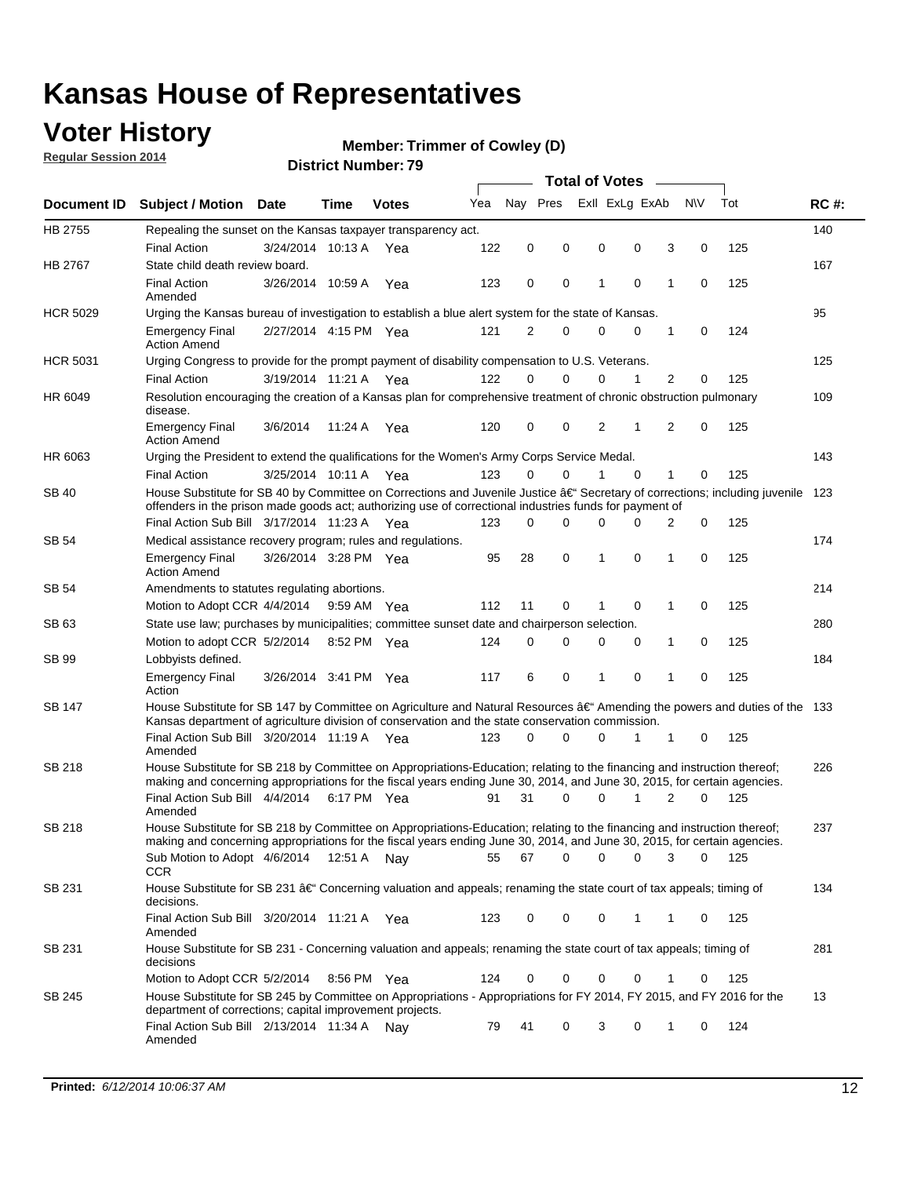### **Voter History**

**Regular Session 2014**

#### **Member: Trimmer of Cowley (D)**

|                    |                                                                                                                                                                                                                                      |                       |             |              |     |          |          | <b>Total of Votes</b> |                |                |          |     |             |
|--------------------|--------------------------------------------------------------------------------------------------------------------------------------------------------------------------------------------------------------------------------------|-----------------------|-------------|--------------|-----|----------|----------|-----------------------|----------------|----------------|----------|-----|-------------|
| <b>Document ID</b> | <b>Subject / Motion Date</b>                                                                                                                                                                                                         |                       | Time        | <b>Votes</b> | Yea | Nay Pres |          |                       | Exll ExLg ExAb | N\V            |          | Tot | <b>RC#:</b> |
| HB 2755            | Repealing the sunset on the Kansas taxpayer transparency act.                                                                                                                                                                        |                       |             |              |     |          |          |                       |                |                |          |     | 140         |
|                    | <b>Final Action</b>                                                                                                                                                                                                                  | 3/24/2014 10:13 A     |             | Yea          | 122 | 0        | 0        | 0                     | 0              | 3              | 0        | 125 |             |
| HB 2767            | State child death review board.                                                                                                                                                                                                      |                       |             |              |     |          |          |                       |                |                |          |     | 167         |
|                    | <b>Final Action</b><br>Amended                                                                                                                                                                                                       | 3/26/2014 10:59 A     |             | Yea          | 123 | 0        | 0        | 1                     | $\mathbf 0$    | 1              | 0        | 125 |             |
| <b>HCR 5029</b>    | Urging the Kansas bureau of investigation to establish a blue alert system for the state of Kansas.                                                                                                                                  |                       |             |              |     |          |          |                       |                |                |          |     | 95          |
|                    | <b>Emergency Final</b><br><b>Action Amend</b>                                                                                                                                                                                        | 2/27/2014 4:15 PM Yea |             |              | 121 | 2        | 0        | 0                     | 0              | 1              | 0        | 124 |             |
| <b>HCR 5031</b>    | Urging Congress to provide for the prompt payment of disability compensation to U.S. Veterans.                                                                                                                                       |                       |             |              |     |          |          |                       |                |                |          |     | 125         |
|                    | <b>Final Action</b>                                                                                                                                                                                                                  | 3/19/2014 11:21 A Yea |             |              | 122 | $\Omega$ | 0        | 0                     | 1              | 2              | 0        | 125 |             |
| HR 6049            | Resolution encouraging the creation of a Kansas plan for comprehensive treatment of chronic obstruction pulmonary<br>disease.                                                                                                        |                       |             |              |     |          |          |                       |                |                |          |     | 109         |
|                    | <b>Emergency Final</b><br><b>Action Amend</b>                                                                                                                                                                                        | 3/6/2014              | 11:24 A     | Yea          | 120 | 0        | 0        | 2                     | 1              | $\overline{2}$ | 0        | 125 |             |
| HR 6063            | Urging the President to extend the qualifications for the Women's Army Corps Service Medal.                                                                                                                                          |                       |             |              |     |          |          |                       |                |                |          |     | 143         |
|                    | <b>Final Action</b>                                                                                                                                                                                                                  | 3/25/2014 10:11 A Yea |             |              | 123 | $\Omega$ | $\Omega$ | 1                     | $\Omega$       | 1              | 0        | 125 |             |
| SB 40              | House Substitute for SB 40 by Committee on Corrections and Juvenile Justice †Secretary of corrections; including juvenile<br>offenders in the prison made goods act; authorizing use of correctional industries funds for payment of |                       |             |              |     |          |          |                       |                |                |          |     | 123         |
|                    | Final Action Sub Bill 3/17/2014 11:23 A Yea                                                                                                                                                                                          |                       |             |              | 123 | 0        | 0        | $\Omega$              | $\Omega$       | 2              | 0        | 125 |             |
| SB 54              | Medical assistance recovery program; rules and regulations.                                                                                                                                                                          |                       |             |              |     |          |          |                       |                |                |          |     | 174         |
|                    | <b>Emergency Final</b><br><b>Action Amend</b>                                                                                                                                                                                        | 3/26/2014 3:28 PM Yea |             |              | 95  | 28       | 0        | 1                     | $\mathbf 0$    | 1              | 0        | 125 |             |
| <b>SB 54</b>       | Amendments to statutes regulating abortions.                                                                                                                                                                                         |                       |             |              |     |          |          |                       |                |                |          |     | 214         |
|                    | Motion to Adopt CCR 4/4/2014                                                                                                                                                                                                         |                       | 9:59 AM Yea |              | 112 | 11       | 0        | 1                     | $\mathbf 0$    | 1              | 0        | 125 |             |
| SB 63              | State use law; purchases by municipalities; committee sunset date and chairperson selection.                                                                                                                                         |                       |             |              |     |          |          |                       |                |                |          |     | 280         |
|                    | Motion to adopt CCR 5/2/2014                                                                                                                                                                                                         |                       | 8:52 PM Yea |              | 124 | 0        | 0        | 0                     | $\mathbf 0$    | 1              | 0        | 125 |             |
| <b>SB 99</b>       | Lobbyists defined.                                                                                                                                                                                                                   |                       |             |              |     |          |          |                       |                |                |          |     | 184         |
|                    | <b>Emergency Final</b><br>Action                                                                                                                                                                                                     | 3/26/2014 3:41 PM Yea |             |              | 117 | 6        | 0        | 1                     | $\mathbf 0$    | 1              | 0        | 125 |             |
| SB 147             | House Substitute for SB 147 by Committee on Agriculture and Natural Resources †Amending the powers and duties of the 133<br>Kansas department of agriculture division of conservation and the state conservation commission.         |                       |             |              |     |          |          |                       |                |                |          |     |             |
|                    | Final Action Sub Bill 3/20/2014 11:19 A Yea<br>Amended                                                                                                                                                                               |                       |             |              | 123 | 0        | 0        | 0                     | 1              | 1              | 0        | 125 |             |
| <b>SB 218</b>      | House Substitute for SB 218 by Committee on Appropriations-Education; relating to the financing and instruction thereof;                                                                                                             |                       |             |              |     |          |          |                       |                |                |          |     | 226         |
|                    | making and concerning appropriations for the fiscal years ending June 30, 2014, and June 30, 2015, for certain agencies.<br>Final Action Sub Bill 4/4/2014                                                                           |                       | 6:17 PM Yea |              | 91  | 31       | $\Omega$ | 0                     | 1              | $\overline{2}$ | $\Omega$ | 125 |             |
|                    | Amended                                                                                                                                                                                                                              |                       |             |              |     |          |          |                       |                |                |          |     |             |
| <b>SB 218</b>      | House Substitute for SB 218 by Committee on Appropriations-Education; relating to the financing and instruction thereof;                                                                                                             |                       |             |              |     |          |          |                       |                |                |          |     | 237         |
|                    | making and concerning appropriations for the fiscal years ending June 30, 2014, and June 30, 2015, for certain agencies.                                                                                                             |                       |             |              |     |          |          |                       |                |                |          |     |             |
|                    | Sub Motion to Adopt 4/6/2014 12:51 A Nay                                                                                                                                                                                             |                       |             |              | 55  | 67       | 0        | 0                     | 0              | 3              | 0        | 125 |             |
| SB 231             | <b>CCR</b><br>House Substitute for SB 231 †Concerning valuation and appeals; renaming the state court of tax appeals; timing of                                                                                                      |                       |             |              |     |          |          |                       |                |                |          |     | 134         |
|                    | decisions.<br>Final Action Sub Bill 3/20/2014 11:21 A Yea                                                                                                                                                                            |                       |             |              | 123 | 0        | 0        | 0                     | $\mathbf{1}$   | 1              | 0        | 125 |             |
| SB 231             | Amended<br>House Substitute for SB 231 - Concerning valuation and appeals; renaming the state court of tax appeals; timing of                                                                                                        |                       |             |              |     |          |          |                       |                |                |          |     | 281         |
|                    | decisions                                                                                                                                                                                                                            |                       |             |              |     |          |          |                       |                |                |          |     |             |
|                    | Motion to Adopt CCR 5/2/2014 8:56 PM Yea                                                                                                                                                                                             |                       |             |              | 124 | 0        | 0        | 0                     | $\mathbf 0$    | 1              | 0        | 125 |             |
| SB 245             | House Substitute for SB 245 by Committee on Appropriations - Appropriations for FY 2014, FY 2015, and FY 2016 for the<br>department of corrections; capital improvement projects.                                                    |                       |             |              |     |          |          |                       |                |                |          |     | 13          |
|                    | Final Action Sub Bill 2/13/2014 11:34 A Nay<br>Amended                                                                                                                                                                               |                       |             |              | 79  | 41       | 0        | 3                     | 0              | 1              | 0        | 124 |             |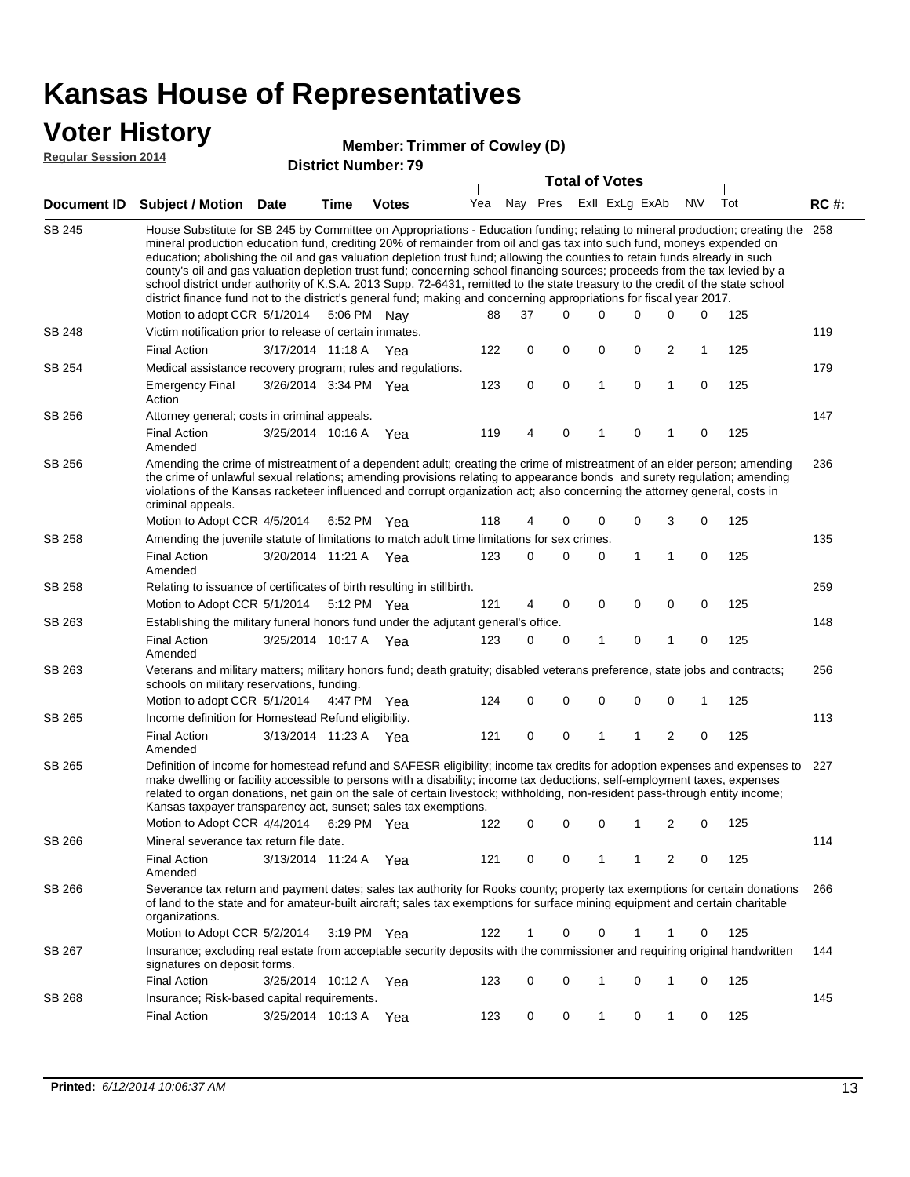# **Voter History**<br> **Regular Session 2014**

#### **Member: Trimmer of Cowley (D)**

| <b>Regular Session 2014</b> |
|-----------------------------|
|-----------------------------|

| Nay Pres<br>Exll ExLg ExAb<br><b>NV</b><br>Tot<br>Yea<br>Document ID Subject / Motion Date<br><b>Votes</b><br>Time<br>SB 245<br>House Substitute for SB 245 by Committee on Appropriations - Education funding; relating to mineral production; creating the<br>mineral production education fund, crediting 20% of remainder from oil and gas tax into such fund, moneys expended on<br>education; abolishing the oil and gas valuation depletion trust fund; allowing the counties to retain funds already in such<br>county's oil and gas valuation depletion trust fund; concerning school financing sources; proceeds from the tax levied by a<br>school district under authority of K.S.A. 2013 Supp. 72-6431, remitted to the state treasury to the credit of the state school<br>district finance fund not to the district's general fund; making and concerning appropriations for fiscal year 2017.<br>Motion to adopt CCR 5/1/2014<br>5:06 PM<br>37<br>$\Omega$<br>0<br>0<br>$\Omega$<br>$\Omega$<br>88<br>Nav<br>SB 248<br>Victim notification prior to release of certain inmates.<br>122<br>$\mathbf 0$<br>$\mathbf 0$<br>0<br>0<br>2<br><b>Final Action</b><br>3/17/2014 11:18 A<br>1<br>Yea<br>SB 254<br>Medical assistance recovery program; rules and regulations.<br>$\mathbf 0$<br>$\mathbf 0$<br>1<br>0<br>1<br>125<br><b>Emergency Final</b><br>3/26/2014 3:34 PM Yea<br>123<br>0 | <b>RC#:</b><br>258<br>125<br>119<br>125<br>179<br>147<br>125<br>236 |  |
|---------------------------------------------------------------------------------------------------------------------------------------------------------------------------------------------------------------------------------------------------------------------------------------------------------------------------------------------------------------------------------------------------------------------------------------------------------------------------------------------------------------------------------------------------------------------------------------------------------------------------------------------------------------------------------------------------------------------------------------------------------------------------------------------------------------------------------------------------------------------------------------------------------------------------------------------------------------------------------------------------------------------------------------------------------------------------------------------------------------------------------------------------------------------------------------------------------------------------------------------------------------------------------------------------------------------------------------------------------------------------------------------------------|---------------------------------------------------------------------|--|
|                                                                                                                                                                                                                                                                                                                                                                                                                                                                                                                                                                                                                                                                                                                                                                                                                                                                                                                                                                                                                                                                                                                                                                                                                                                                                                                                                                                                         |                                                                     |  |
|                                                                                                                                                                                                                                                                                                                                                                                                                                                                                                                                                                                                                                                                                                                                                                                                                                                                                                                                                                                                                                                                                                                                                                                                                                                                                                                                                                                                         |                                                                     |  |
|                                                                                                                                                                                                                                                                                                                                                                                                                                                                                                                                                                                                                                                                                                                                                                                                                                                                                                                                                                                                                                                                                                                                                                                                                                                                                                                                                                                                         |                                                                     |  |
|                                                                                                                                                                                                                                                                                                                                                                                                                                                                                                                                                                                                                                                                                                                                                                                                                                                                                                                                                                                                                                                                                                                                                                                                                                                                                                                                                                                                         |                                                                     |  |
|                                                                                                                                                                                                                                                                                                                                                                                                                                                                                                                                                                                                                                                                                                                                                                                                                                                                                                                                                                                                                                                                                                                                                                                                                                                                                                                                                                                                         |                                                                     |  |
| Action                                                                                                                                                                                                                                                                                                                                                                                                                                                                                                                                                                                                                                                                                                                                                                                                                                                                                                                                                                                                                                                                                                                                                                                                                                                                                                                                                                                                  |                                                                     |  |
| SB 256<br>Attorney general; costs in criminal appeals.                                                                                                                                                                                                                                                                                                                                                                                                                                                                                                                                                                                                                                                                                                                                                                                                                                                                                                                                                                                                                                                                                                                                                                                                                                                                                                                                                  |                                                                     |  |
| <b>Final Action</b><br>3/25/2014 10:16 A<br>119<br>0<br>Yea<br>4<br>0<br>1<br>1<br>0<br>Amended                                                                                                                                                                                                                                                                                                                                                                                                                                                                                                                                                                                                                                                                                                                                                                                                                                                                                                                                                                                                                                                                                                                                                                                                                                                                                                         |                                                                     |  |
| SB 256<br>Amending the crime of mistreatment of a dependent adult; creating the crime of mistreatment of an elder person; amending<br>the crime of unlawful sexual relations; amending provisions relating to appearance bonds and surety regulation; amending<br>violations of the Kansas racketeer influenced and corrupt organization act; also concerning the attorney general, costs in<br>criminal appeals.                                                                                                                                                                                                                                                                                                                                                                                                                                                                                                                                                                                                                                                                                                                                                                                                                                                                                                                                                                                       |                                                                     |  |
| 3<br>Motion to Adopt CCR 4/5/2014<br>118<br>0<br>0<br>$\mathbf 0$<br>6:52 PM Yea<br>4<br>0                                                                                                                                                                                                                                                                                                                                                                                                                                                                                                                                                                                                                                                                                                                                                                                                                                                                                                                                                                                                                                                                                                                                                                                                                                                                                                              | 125                                                                 |  |
| SB 258<br>Amending the juvenile statute of limitations to match adult time limitations for sex crimes.                                                                                                                                                                                                                                                                                                                                                                                                                                                                                                                                                                                                                                                                                                                                                                                                                                                                                                                                                                                                                                                                                                                                                                                                                                                                                                  | 135                                                                 |  |
| $\mathbf{1}$<br><b>Final Action</b><br>3/20/2014 11:21 A Yea<br>123<br>0<br>0<br>0<br>$\mathbf{1}$<br>$\mathbf 0$<br>Amended                                                                                                                                                                                                                                                                                                                                                                                                                                                                                                                                                                                                                                                                                                                                                                                                                                                                                                                                                                                                                                                                                                                                                                                                                                                                            | 125                                                                 |  |
| SB 258<br>Relating to issuance of certificates of birth resulting in stillbirth.                                                                                                                                                                                                                                                                                                                                                                                                                                                                                                                                                                                                                                                                                                                                                                                                                                                                                                                                                                                                                                                                                                                                                                                                                                                                                                                        | 259                                                                 |  |
| Motion to Adopt CCR 5/1/2014<br>121<br>0<br>$\mathbf 0$<br>0<br>$\mathbf 0$<br>5:12 PM Yea<br>$\overline{4}$<br>0                                                                                                                                                                                                                                                                                                                                                                                                                                                                                                                                                                                                                                                                                                                                                                                                                                                                                                                                                                                                                                                                                                                                                                                                                                                                                       | 125                                                                 |  |
| Establishing the military funeral honors fund under the adjutant general's office.<br>SB 263                                                                                                                                                                                                                                                                                                                                                                                                                                                                                                                                                                                                                                                                                                                                                                                                                                                                                                                                                                                                                                                                                                                                                                                                                                                                                                            | 148                                                                 |  |
| <b>Final Action</b><br>123<br>$\mathbf 0$<br>$\mathbf{1}$<br>$\mathbf 0$<br>125<br>3/25/2014 10:17 A Yea<br>0<br>1<br>$\mathbf 0$<br>Amended                                                                                                                                                                                                                                                                                                                                                                                                                                                                                                                                                                                                                                                                                                                                                                                                                                                                                                                                                                                                                                                                                                                                                                                                                                                            |                                                                     |  |
| SB 263<br>Veterans and military matters; military honors fund; death gratuity; disabled veterans preference, state jobs and contracts;<br>schools on military reservations, funding.                                                                                                                                                                                                                                                                                                                                                                                                                                                                                                                                                                                                                                                                                                                                                                                                                                                                                                                                                                                                                                                                                                                                                                                                                    | 256                                                                 |  |
| $\mathbf 0$<br>$\mathbf 0$<br>0<br>$\mathbf 0$<br>0<br>Motion to adopt CCR 5/1/2014 4:47 PM Yea<br>124<br>1                                                                                                                                                                                                                                                                                                                                                                                                                                                                                                                                                                                                                                                                                                                                                                                                                                                                                                                                                                                                                                                                                                                                                                                                                                                                                             | 125                                                                 |  |
| SB 265<br>Income definition for Homestead Refund eligibility.                                                                                                                                                                                                                                                                                                                                                                                                                                                                                                                                                                                                                                                                                                                                                                                                                                                                                                                                                                                                                                                                                                                                                                                                                                                                                                                                           | 113                                                                 |  |
| $\mathbf 0$<br>$\mathbf 0$<br>$\mathbf{1}$<br>$\overline{2}$<br>125<br><b>Final Action</b><br>3/13/2014 11:23 A Yea<br>121<br>1<br>0<br>Amended                                                                                                                                                                                                                                                                                                                                                                                                                                                                                                                                                                                                                                                                                                                                                                                                                                                                                                                                                                                                                                                                                                                                                                                                                                                         |                                                                     |  |
| SB 265<br>Definition of income for homestead refund and SAFESR eligibility; income tax credits for adoption expenses and expenses to<br>make dwelling or facility accessible to persons with a disability; income tax deductions, self-employment taxes, expenses<br>related to organ donations, net gain on the sale of certain livestock; withholding, non-resident pass-through entity income;<br>Kansas taxpayer transparency act, sunset; sales tax exemptions.                                                                                                                                                                                                                                                                                                                                                                                                                                                                                                                                                                                                                                                                                                                                                                                                                                                                                                                                    | 227                                                                 |  |
| Motion to Adopt CCR 4/4/2014 6:29 PM Yea<br>122<br>0<br>0<br>0<br>1<br>2<br>0                                                                                                                                                                                                                                                                                                                                                                                                                                                                                                                                                                                                                                                                                                                                                                                                                                                                                                                                                                                                                                                                                                                                                                                                                                                                                                                           | 125                                                                 |  |
| SB 266<br>Mineral severance tax return file date.                                                                                                                                                                                                                                                                                                                                                                                                                                                                                                                                                                                                                                                                                                                                                                                                                                                                                                                                                                                                                                                                                                                                                                                                                                                                                                                                                       | 114                                                                 |  |
| <b>Final Action</b><br>121<br>3/13/2014 11:24 A<br>0<br>0<br>1<br>1<br>2<br>0<br>Yea<br>Amended                                                                                                                                                                                                                                                                                                                                                                                                                                                                                                                                                                                                                                                                                                                                                                                                                                                                                                                                                                                                                                                                                                                                                                                                                                                                                                         | 125                                                                 |  |
| SB 266<br>Severance tax return and payment dates; sales tax authority for Rooks county; property tax exemptions for certain donations<br>of land to the state and for amateur-built aircraft; sales tax exemptions for surface mining equipment and certain charitable<br>organizations.                                                                                                                                                                                                                                                                                                                                                                                                                                                                                                                                                                                                                                                                                                                                                                                                                                                                                                                                                                                                                                                                                                                | 266                                                                 |  |
| Motion to Adopt CCR 5/2/2014<br>122<br>0<br>125<br>3:19 PM Yea<br>1<br>0<br>1<br>1<br>0                                                                                                                                                                                                                                                                                                                                                                                                                                                                                                                                                                                                                                                                                                                                                                                                                                                                                                                                                                                                                                                                                                                                                                                                                                                                                                                 |                                                                     |  |
| SB 267<br>Insurance; excluding real estate from acceptable security deposits with the commissioner and requiring original handwritten<br>signatures on deposit forms.                                                                                                                                                                                                                                                                                                                                                                                                                                                                                                                                                                                                                                                                                                                                                                                                                                                                                                                                                                                                                                                                                                                                                                                                                                   | 144                                                                 |  |
| <b>Final Action</b><br>0<br>0<br>1<br>0<br>3/25/2014 10:12 A Yea<br>123<br>1<br>0                                                                                                                                                                                                                                                                                                                                                                                                                                                                                                                                                                                                                                                                                                                                                                                                                                                                                                                                                                                                                                                                                                                                                                                                                                                                                                                       | 125                                                                 |  |
| SB 268<br>Insurance; Risk-based capital requirements.                                                                                                                                                                                                                                                                                                                                                                                                                                                                                                                                                                                                                                                                                                                                                                                                                                                                                                                                                                                                                                                                                                                                                                                                                                                                                                                                                   | 145                                                                 |  |
| <b>Final Action</b><br>$\mathbf{1}$<br>0<br>1<br>3/25/2014 10:13 A Yea<br>123<br>0<br>0<br>0                                                                                                                                                                                                                                                                                                                                                                                                                                                                                                                                                                                                                                                                                                                                                                                                                                                                                                                                                                                                                                                                                                                                                                                                                                                                                                            | 125                                                                 |  |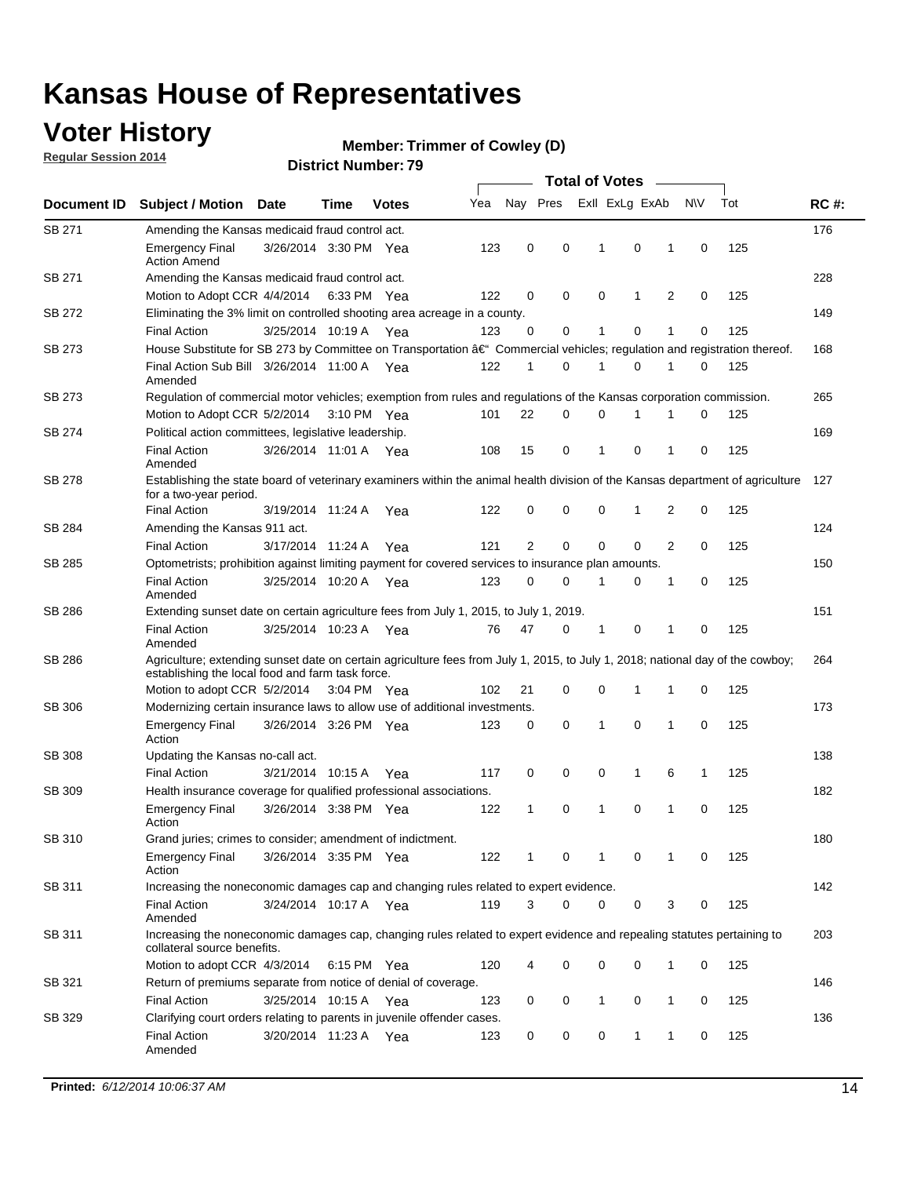### **Voter History**

**Regular Session 2014**

#### **Member: Trimmer of Cowley (D)**

|                    |                                                                                                                                                                                    |                       |      |              |     | <b>Total of Votes</b> |             |  |                |             |   |             |     |             |
|--------------------|------------------------------------------------------------------------------------------------------------------------------------------------------------------------------------|-----------------------|------|--------------|-----|-----------------------|-------------|--|----------------|-------------|---|-------------|-----|-------------|
| <b>Document ID</b> | <b>Subject / Motion Date</b>                                                                                                                                                       |                       | Time | <b>Votes</b> | Yea | Nay Pres              |             |  | Exll ExLg ExAb |             |   | N\V         | Tot | <b>RC#:</b> |
| <b>SB 271</b>      | Amending the Kansas medicaid fraud control act.                                                                                                                                    |                       |      |              |     |                       |             |  |                |             |   |             |     | 176         |
|                    | <b>Emergency Final</b><br><b>Action Amend</b>                                                                                                                                      | 3/26/2014 3:30 PM Yea |      |              | 123 | 0                     | 0           |  | 1              | $\mathbf 0$ | 1 | 0           | 125 |             |
| SB 271             | Amending the Kansas medicaid fraud control act.                                                                                                                                    |                       |      |              |     |                       |             |  |                |             |   |             |     | 228         |
|                    | Motion to Adopt CCR 4/4/2014 6:33 PM Yea                                                                                                                                           |                       |      |              | 122 | 0                     | 0           |  | 0              | 1           | 2 | 0           | 125 |             |
| SB 272             | Eliminating the 3% limit on controlled shooting area acreage in a county.                                                                                                          |                       |      |              |     |                       |             |  |                |             |   |             |     | 149         |
|                    | <b>Final Action</b>                                                                                                                                                                | 3/25/2014 10:19 A Yea |      |              | 123 | $\Omega$              | 0           |  | 1              | 0           | 1 | 0           | 125 |             |
| SB 273             | House Substitute for SB 273 by Committee on Transportation â€ <sup>4</sup> Commercial vehicles; regulation and registration thereof.                                               |                       |      |              |     |                       |             |  |                |             |   |             |     | 168         |
|                    | Final Action Sub Bill 3/26/2014 11:00 A Yea<br>Amended                                                                                                                             |                       |      |              | 122 | $\mathbf 1$           | 0           |  | -1             | 0           | 1 | 0           | 125 |             |
| SB 273             | Regulation of commercial motor vehicles; exemption from rules and regulations of the Kansas corporation commission.                                                                |                       |      |              |     |                       |             |  |                |             |   |             |     | 265         |
|                    | Motion to Adopt CCR 5/2/2014 3:10 PM Yea                                                                                                                                           |                       |      |              | 101 | 22                    | 0           |  | 0              | 1           | 1 | 0           | 125 |             |
| SB 274             | Political action committees, legislative leadership.                                                                                                                               |                       |      |              |     |                       |             |  |                |             |   |             |     | 169         |
|                    | <b>Final Action</b><br>Amended                                                                                                                                                     | 3/26/2014 11:01 A Yea |      |              | 108 | 15                    | 0           |  | $\mathbf{1}$   | 0           | 1 | 0           | 125 |             |
| SB 278             | Establishing the state board of veterinary examiners within the animal health division of the Kansas department of agriculture<br>for a two-year period.                           |                       |      |              |     |                       |             |  |                |             |   |             |     | 127         |
|                    | <b>Final Action</b>                                                                                                                                                                | 3/19/2014 11:24 A     |      | Yea          | 122 | 0                     | 0           |  | 0              | $\mathbf 1$ | 2 | 0           | 125 |             |
| SB 284             | Amending the Kansas 911 act.                                                                                                                                                       |                       |      |              |     |                       |             |  |                |             |   |             |     | 124         |
|                    | <b>Final Action</b>                                                                                                                                                                | 3/17/2014 11:24 A     |      | Yea          | 121 | 2                     | $\mathbf 0$ |  | $\mathbf 0$    | 0           | 2 | $\Omega$    | 125 |             |
| SB 285             | Optometrists; prohibition against limiting payment for covered services to insurance plan amounts.                                                                                 |                       |      |              |     |                       |             |  |                |             |   |             |     | 150         |
|                    | <b>Final Action</b><br>Amended                                                                                                                                                     | 3/25/2014 10:20 A     |      | Yea          | 123 | 0                     | 0           |  | 1              | 0           | 1 | 0           | 125 |             |
| SB 286             | Extending sunset date on certain agriculture fees from July 1, 2015, to July 1, 2019.                                                                                              |                       |      |              |     |                       |             |  |                |             |   |             |     | 151         |
|                    | <b>Final Action</b><br>Amended                                                                                                                                                     | 3/25/2014 10:23 A Yea |      |              | 76  | 47                    | 0           |  | $\mathbf 1$    | 0           | 1 | 0           | 125 |             |
| SB 286             | Agriculture; extending sunset date on certain agriculture fees from July 1, 2015, to July 1, 2018; national day of the cowboy;<br>establishing the local food and farm task force. |                       |      |              |     |                       |             |  |                |             |   |             |     | 264         |
|                    | Motion to adopt CCR 5/2/2014 3:04 PM Yea                                                                                                                                           |                       |      |              | 102 | 21                    | 0           |  | 0              | $\mathbf 1$ | 1 | 0           | 125 |             |
| SB 306             | Modernizing certain insurance laws to allow use of additional investments.                                                                                                         |                       |      |              |     |                       |             |  |                |             |   |             |     | 173         |
|                    | <b>Emergency Final</b><br>Action                                                                                                                                                   | 3/26/2014 3:26 PM Yea |      |              | 123 | 0                     | 0           |  | $\mathbf{1}$   | 0           | 1 | 0           | 125 |             |
| <b>SB 308</b>      | Updating the Kansas no-call act.                                                                                                                                                   |                       |      |              |     |                       |             |  |                |             |   |             |     | 138         |
|                    | <b>Final Action</b>                                                                                                                                                                | 3/21/2014 10:15 A     |      | Yea          | 117 | 0                     | 0           |  | 0              | 1           | 6 | 1           | 125 |             |
| SB 309             | Health insurance coverage for qualified professional associations.                                                                                                                 |                       |      |              |     |                       |             |  |                |             |   |             |     | 182         |
|                    | <b>Emergency Final</b><br>Action                                                                                                                                                   | 3/26/2014 3:38 PM Yea |      |              | 122 | $\mathbf{1}$          | 0           |  | 1              | 0           | 1 | $\mathbf 0$ | 125 |             |
| SB 310             | Grand juries; crimes to consider; amendment of indictment.                                                                                                                         |                       |      |              |     |                       |             |  |                |             |   |             |     | 180         |
|                    | <b>Emergency Final</b><br>Action                                                                                                                                                   | 3/26/2014 3:35 PM Yea |      |              | 122 | 1                     | 0           |  | -1             | 0           | 1 | 0           | 125 |             |
| SB 311             | Increasing the noneconomic damages cap and changing rules related to expert evidence.                                                                                              |                       |      |              |     |                       |             |  |                |             |   |             |     | 142         |
|                    | <b>Final Action</b><br>Amended                                                                                                                                                     | 3/24/2014 10:17 A Yea |      |              | 119 | 3                     | 0           |  | 0              | 0           | 3 | 0           | 125 |             |
| SB 311             | Increasing the noneconomic damages cap, changing rules related to expert evidence and repealing statutes pertaining to<br>collateral source benefits.                              |                       |      |              |     |                       |             |  |                |             |   |             |     | 203         |
|                    | Motion to adopt CCR 4/3/2014 6:15 PM Yea                                                                                                                                           |                       |      |              | 120 | 4                     | 0           |  | 0              | 0           | 1 | 0           | 125 |             |
| SB 321             | Return of premiums separate from notice of denial of coverage.                                                                                                                     |                       |      |              |     |                       |             |  |                |             |   |             |     | 146         |
|                    | <b>Final Action</b>                                                                                                                                                                | 3/25/2014 10:15 A Yea |      |              | 123 | 0                     | 0           |  | $\mathbf{1}$   | 0           | 1 | 0           | 125 |             |
| SB 329             | Clarifying court orders relating to parents in juvenile offender cases.<br><b>Final Action</b><br>Amended                                                                          | 3/20/2014 11:23 A Yea |      |              | 123 | 0                     | 0           |  | 0              | 1           | 1 | 0           | 125 | 136         |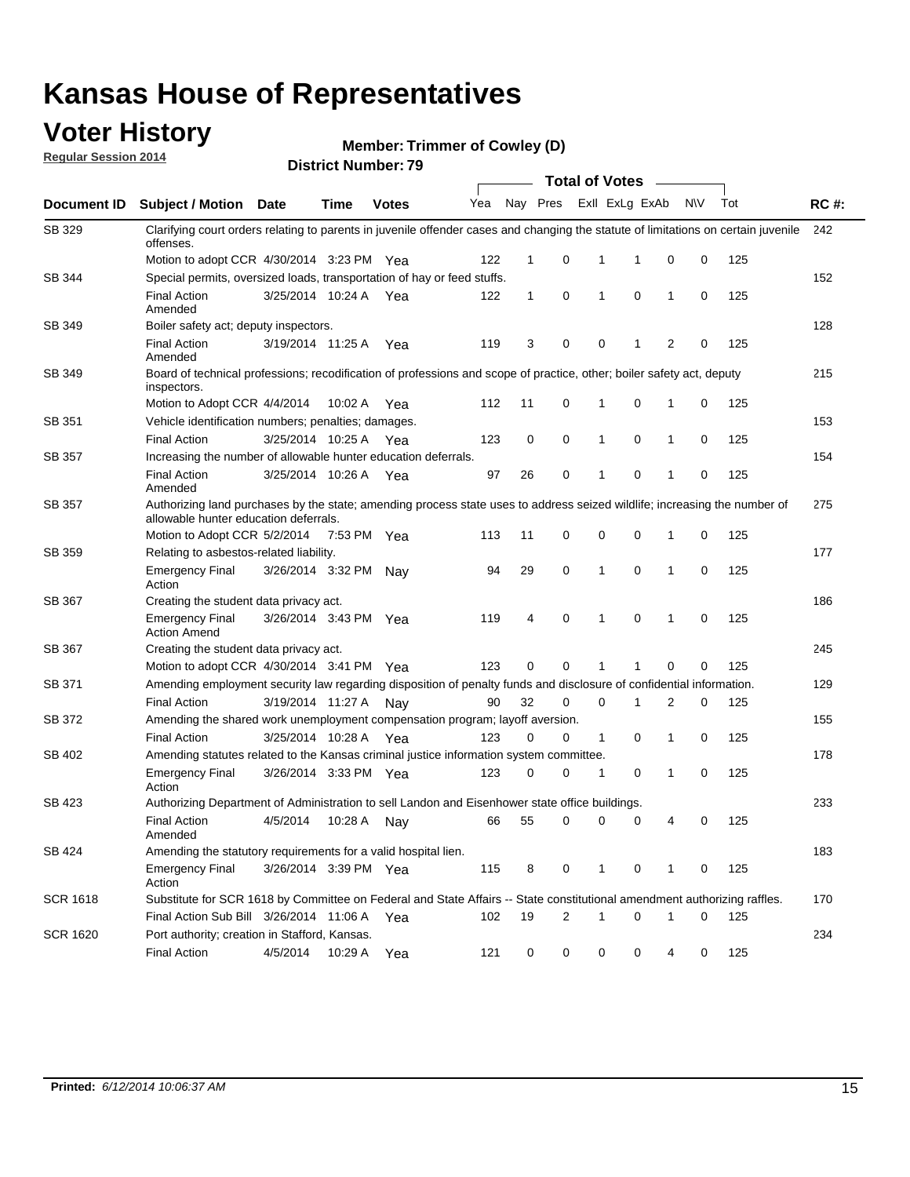### **Voter History**

**Regular Session 2014**

**Member: Trimmer of Cowley (D)** 

| <b>District Number: 79</b> |
|----------------------------|
|                            |

|                    |                                                                                                                                                                    |                       |             |              |     |              |   | <b>Total of Votes</b> |                |              |           |     |             |
|--------------------|--------------------------------------------------------------------------------------------------------------------------------------------------------------------|-----------------------|-------------|--------------|-----|--------------|---|-----------------------|----------------|--------------|-----------|-----|-------------|
| <b>Document ID</b> | <b>Subject / Motion Date</b>                                                                                                                                       |                       | Time        | <b>Votes</b> | Yea | Nay Pres     |   |                       | Exll ExLg ExAb |              | <b>NV</b> | Tot | <b>RC#:</b> |
| SB 329             | Clarifying court orders relating to parents in juvenile offender cases and changing the statute of limitations on certain juvenile<br>offenses.                    |                       |             |              |     |              |   |                       |                |              |           |     | 242         |
|                    | Motion to adopt CCR 4/30/2014 3:23 PM Yea                                                                                                                          |                       |             |              | 122 | 1            | 0 | 1                     | 1              | 0            | 0         | 125 |             |
| <b>SB 344</b>      | Special permits, oversized loads, transportation of hay or feed stuffs.                                                                                            |                       |             |              |     |              |   |                       |                |              |           |     | 152         |
|                    | <b>Final Action</b><br>Amended                                                                                                                                     | 3/25/2014 10:24 A     |             | Yea          | 122 | $\mathbf{1}$ | 0 | 1                     | $\mathbf 0$    | 1            | 0         | 125 |             |
| SB 349             | Boiler safety act; deputy inspectors.                                                                                                                              |                       |             |              |     |              |   |                       |                |              |           |     | 128         |
|                    | <b>Final Action</b><br>Amended                                                                                                                                     | 3/19/2014 11:25 A     |             | Yea          | 119 | 3            | 0 | 0                     | 1              | 2            | 0         | 125 |             |
| SB 349             | Board of technical professions; recodification of professions and scope of practice, other; boiler safety act, deputy<br>inspectors.                               |                       |             |              |     |              |   |                       |                |              |           |     | 215         |
|                    | Motion to Adopt CCR 4/4/2014                                                                                                                                       |                       | 10:02 A     | Yea          | 112 | 11           | 0 | 1                     | 0              | 1            | 0         | 125 |             |
| SB 351             | Vehicle identification numbers; penalties; damages.                                                                                                                |                       |             |              |     |              |   |                       |                |              |           |     | 153         |
|                    | <b>Final Action</b>                                                                                                                                                | 3/25/2014 10:25 A     |             | Yea          | 123 | 0            | 0 | 1                     | 0              | 1            | 0         | 125 |             |
| SB 357             | Increasing the number of allowable hunter education deferrals.                                                                                                     |                       |             |              |     |              |   |                       |                |              |           |     | 154         |
|                    | <b>Final Action</b><br>Amended                                                                                                                                     | 3/25/2014 10:26 A     |             | Yea          | 97  | 26           | 0 | 1                     | 0              | 1            | 0         | 125 |             |
| SB 357             | Authorizing land purchases by the state; amending process state uses to address seized wildlife; increasing the number of<br>allowable hunter education deferrals. |                       |             |              |     |              |   |                       |                |              |           |     | 275         |
|                    | Motion to Adopt CCR 5/2/2014                                                                                                                                       |                       | 7:53 PM Yea |              | 113 | 11           | 0 | 0                     | $\mathbf 0$    | 1            | 0         | 125 |             |
| SB 359             | Relating to asbestos-related liability.                                                                                                                            |                       |             |              |     |              |   |                       |                |              |           |     | 177         |
|                    | <b>Emergency Final</b><br>Action                                                                                                                                   | 3/26/2014 3:32 PM Nay |             |              | 94  | 29           | 0 | 1                     | $\mathbf 0$    | 1            | 0         | 125 |             |
| <b>SB 367</b>      | Creating the student data privacy act.                                                                                                                             |                       |             |              |     |              |   |                       |                |              |           |     | 186         |
|                    | <b>Emergency Final</b><br><b>Action Amend</b>                                                                                                                      | 3/26/2014 3:43 PM Yea |             |              | 119 | 4            | 0 | 1                     | $\mathbf 0$    | $\mathbf{1}$ | 0         | 125 |             |
| SB 367             | Creating the student data privacy act.                                                                                                                             |                       |             |              |     |              |   |                       |                |              |           |     | 245         |
|                    | Motion to adopt CCR 4/30/2014 3:41 PM Yea                                                                                                                          |                       |             |              | 123 | 0            | 0 | 1                     |                | $\mathbf 0$  | 0         | 125 |             |
| SB 371             | Amending employment security law regarding disposition of penalty funds and disclosure of confidential information.                                                |                       |             |              |     |              |   |                       |                |              |           |     | 129         |
|                    | <b>Final Action</b>                                                                                                                                                | 3/19/2014 11:27 A     |             | Nav          | 90  | 32           | 0 | 0                     | 1              | 2            | 0         | 125 |             |
| <b>SB 372</b>      | Amending the shared work unemployment compensation program; layoff aversion.                                                                                       |                       |             |              |     |              |   |                       |                |              |           |     | 155         |
|                    | <b>Final Action</b>                                                                                                                                                | 3/25/2014 10:28 A     |             | Yea          | 123 | 0            | 0 | 1                     | 0              | 1            | 0         | 125 |             |
| SB 402             | Amending statutes related to the Kansas criminal justice information system committee.                                                                             |                       |             |              |     |              |   |                       |                |              |           |     | 178         |
|                    | <b>Emergency Final</b><br>Action                                                                                                                                   | 3/26/2014 3:33 PM Yea |             |              | 123 | 0            | 0 | 1                     | 0              | 1            | 0         | 125 |             |
| SB 423             | Authorizing Department of Administration to sell Landon and Eisenhower state office buildings.                                                                     |                       |             |              |     |              |   |                       |                |              |           |     | 233         |
|                    | <b>Final Action</b><br>Amended                                                                                                                                     | 4/5/2014              | 10:28 A     | Nay          | 66  | 55           | 0 | 0                     | 0              | 4            | 0         | 125 |             |
| SB 424             | Amending the statutory requirements for a valid hospital lien.                                                                                                     |                       |             |              |     |              |   |                       |                |              |           |     | 183         |
|                    | <b>Emergency Final</b><br>Action                                                                                                                                   | 3/26/2014 3:39 PM Yea |             |              | 115 | 8            | 0 | 1                     | 0              | 1            | 0         | 125 |             |
| SCR 1618           | Substitute for SCR 1618 by Committee on Federal and State Affairs -- State constitutional amendment authorizing raffles.                                           |                       |             |              |     |              |   |                       |                |              |           |     | 170         |
|                    | Final Action Sub Bill 3/26/2014 11:06 A Yea                                                                                                                        |                       |             |              | 102 | 19           | 2 | 1                     | $\mathbf 0$    | 1            | 0         | 125 |             |
| SCR 1620           | Port authority; creation in Stafford, Kansas.                                                                                                                      |                       |             |              |     |              |   |                       |                |              |           |     | 234         |
|                    | <b>Final Action</b>                                                                                                                                                | 4/5/2014              | 10:29 A     | Yea          | 121 | 0            | 0 | 0                     | 0              | 4            | 0         | 125 |             |